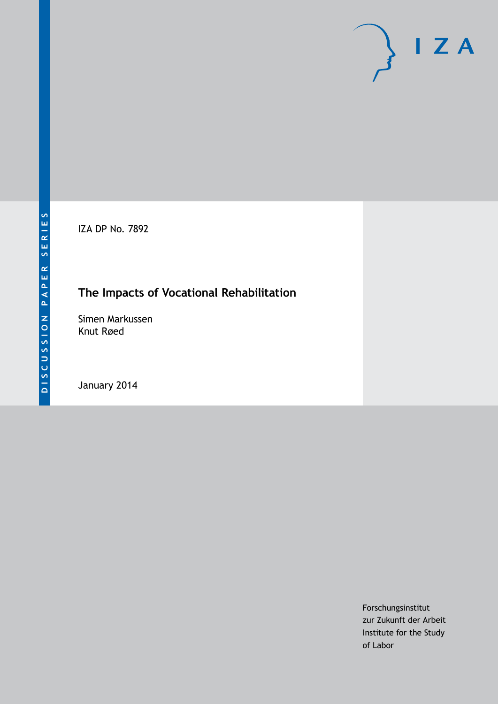IZA DP No. 7892

# **The Impacts of Vocational Rehabilitation**

Simen Markussen Knut Røed

January 2014

Forschungsinstitut zur Zukunft der Arbeit Institute for the Study of Labor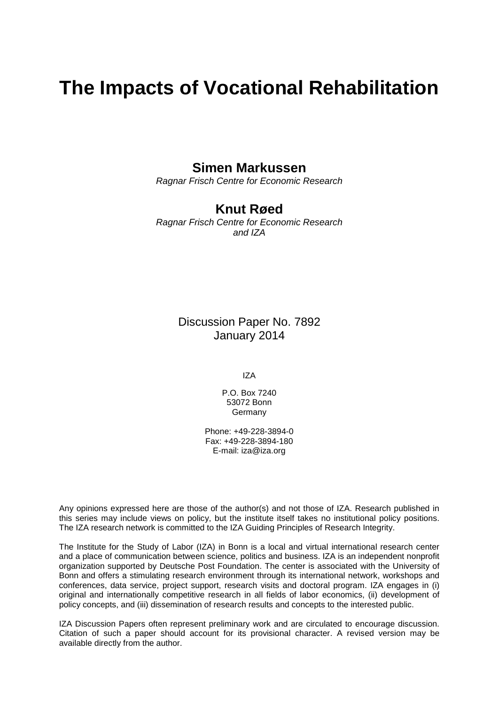# **The Impacts of Vocational Rehabilitation**

## **Simen Markussen**

*Ragnar Frisch Centre for Economic Research*

## **Knut Røed**

*Ragnar Frisch Centre for Economic Research and IZA*

> Discussion Paper No. 7892 January 2014

> > IZA

P.O. Box 7240 53072 Bonn Germany

Phone: +49-228-3894-0 Fax: +49-228-3894-180 E-mail: [iza@iza.org](mailto:iza@iza.org)

Any opinions expressed here are those of the author(s) and not those of IZA. Research published in this series may include views on policy, but the institute itself takes no institutional policy positions. The IZA research network is committed to the IZA Guiding Principles of Research Integrity.

The Institute for the Study of Labor (IZA) in Bonn is a local and virtual international research center and a place of communication between science, politics and business. IZA is an independent nonprofit organization supported by Deutsche Post Foundation. The center is associated with the University of Bonn and offers a stimulating research environment through its international network, workshops and conferences, data service, project support, research visits and doctoral program. IZA engages in (i) original and internationally competitive research in all fields of labor economics, (ii) development of policy concepts, and (iii) dissemination of research results and concepts to the interested public.

<span id="page-1-0"></span>IZA Discussion Papers often represent preliminary work and are circulated to encourage discussion. Citation of such a paper should account for its provisional character. A revised version may be available directly from the author.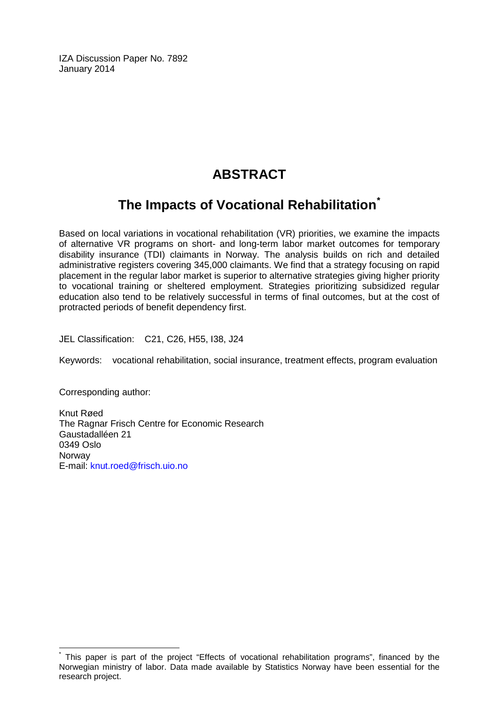IZA Discussion Paper No. 7892 January 2014

# **ABSTRACT**

## **The Impacts of Vocational Rehabilitation[\\*](#page-1-0)**

Based on local variations in vocational rehabilitation (VR) priorities, we examine the impacts of alternative VR programs on short- and long-term labor market outcomes for temporary disability insurance (TDI) claimants in Norway. The analysis builds on rich and detailed administrative registers covering 345,000 claimants. We find that a strategy focusing on rapid placement in the regular labor market is superior to alternative strategies giving higher priority to vocational training or sheltered employment. Strategies prioritizing subsidized regular education also tend to be relatively successful in terms of final outcomes, but at the cost of protracted periods of benefit dependency first.

JEL Classification: C21, C26, H55, I38, J24

Keywords: vocational rehabilitation, social insurance, treatment effects, program evaluation

Corresponding author:

Knut Røed The Ragnar Frisch Centre for Economic Research Gaustadalléen 21 0349 Oslo **Norway** E-mail: [knut.roed@frisch.uio.no](mailto:knut.roed@frisch.uio.no)

This paper is part of the project "Effects of vocational rehabilitation programs", financed by the Norwegian ministry of labor. Data made available by Statistics Norway have been essential for the research project.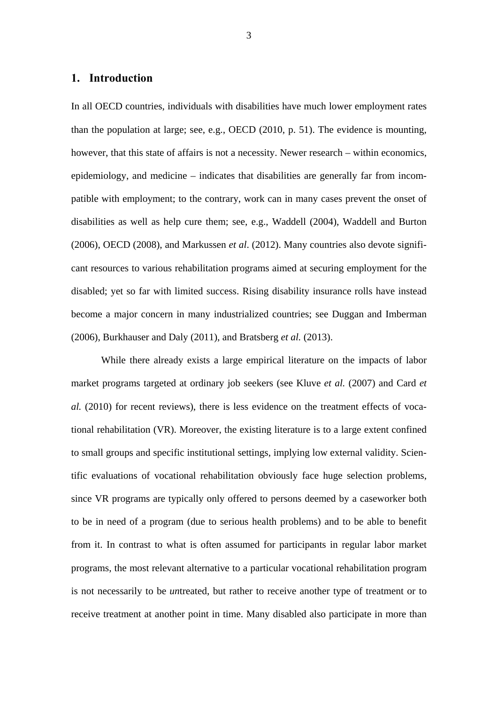#### **1. Introduction**

In all OECD countries, individuals with disabilities have much lower employment rates than the population at large; see, e.g., OECD (2010, p. 51). The evidence is mounting, however, that this state of affairs is not a necessity. Newer research – within economics, epidemiology, and medicine – indicates that disabilities are generally far from incompatible with employment; to the contrary, work can in many cases prevent the onset of disabilities as well as help cure them; see, e.g., Waddell (2004), Waddell and Burton (2006), OECD (2008), and Markussen *et al*. (2012). Many countries also devote significant resources to various rehabilitation programs aimed at securing employment for the disabled; yet so far with limited success. Rising disability insurance rolls have instead become a major concern in many industrialized countries; see Duggan and Imberman (2006), Burkhauser and Daly (2011), and Bratsberg *et al.* (2013).

While there already exists a large empirical literature on the impacts of labor market programs targeted at ordinary job seekers (see Kluve *et al.* (2007) and Card *et al.* (2010) for recent reviews), there is less evidence on the treatment effects of vocational rehabilitation (VR). Moreover, the existing literature is to a large extent confined to small groups and specific institutional settings, implying low external validity. Scientific evaluations of vocational rehabilitation obviously face huge selection problems, since VR programs are typically only offered to persons deemed by a caseworker both to be in need of a program (due to serious health problems) and to be able to benefit from it. In contrast to what is often assumed for participants in regular labor market programs, the most relevant alternative to a particular vocational rehabilitation program is not necessarily to be *un*treated, but rather to receive another type of treatment or to receive treatment at another point in time. Many disabled also participate in more than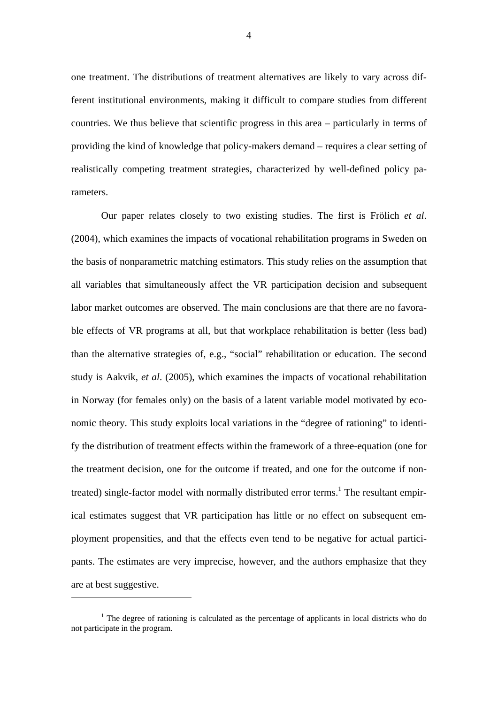one treatment. The distributions of treatment alternatives are likely to vary across different institutional environments, making it difficult to compare studies from different countries. We thus believe that scientific progress in this area – particularly in terms of providing the kind of knowledge that policy-makers demand – requires a clear setting of realistically competing treatment strategies, characterized by well-defined policy parameters.

Our paper relates closely to two existing studies. The first is Frölich *et al*. (2004), which examines the impacts of vocational rehabilitation programs in Sweden on the basis of nonparametric matching estimators. This study relies on the assumption that all variables that simultaneously affect the VR participation decision and subsequent labor market outcomes are observed. The main conclusions are that there are no favorable effects of VR programs at all, but that workplace rehabilitation is better (less bad) than the alternative strategies of, e.g., "social" rehabilitation or education. The second study is Aakvik, *et al*. (2005), which examines the impacts of vocational rehabilitation in Norway (for females only) on the basis of a latent variable model motivated by economic theory. This study exploits local variations in the "degree of rationing" to identify the distribution of treatment effects within the framework of a three-equation (one for the treatment decision, one for the outcome if treated, and one for the outcome if nontreated) single-factor model with normally distributed error terms.<sup>1</sup> The resultant empirical estimates suggest that VR participation has little or no effect on subsequent employment propensities, and that the effects even tend to be negative for actual participants. The estimates are very imprecise, however, and the authors emphasize that they are at best suggestive.

<sup>&</sup>lt;sup>1</sup> The degree of rationing is calculated as the percentage of applicants in local districts who do not participate in the program.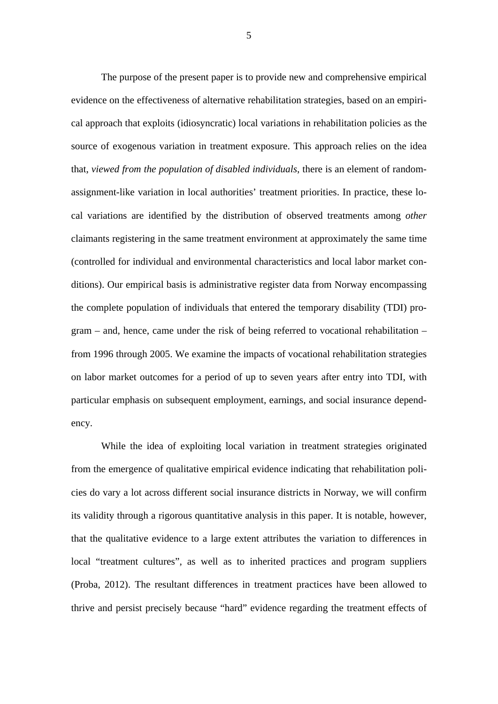The purpose of the present paper is to provide new and comprehensive empirical evidence on the effectiveness of alternative rehabilitation strategies, based on an empirical approach that exploits (idiosyncratic) local variations in rehabilitation policies as the source of exogenous variation in treatment exposure. This approach relies on the idea that, *viewed from the population of disabled individuals*, there is an element of randomassignment-like variation in local authorities' treatment priorities. In practice, these local variations are identified by the distribution of observed treatments among *other* claimants registering in the same treatment environment at approximately the same time (controlled for individual and environmental characteristics and local labor market conditions). Our empirical basis is administrative register data from Norway encompassing the complete population of individuals that entered the temporary disability (TDI) program – and, hence, came under the risk of being referred to vocational rehabilitation – from 1996 through 2005. We examine the impacts of vocational rehabilitation strategies on labor market outcomes for a period of up to seven years after entry into TDI, with particular emphasis on subsequent employment, earnings, and social insurance dependency.

While the idea of exploiting local variation in treatment strategies originated from the emergence of qualitative empirical evidence indicating that rehabilitation policies do vary a lot across different social insurance districts in Norway, we will confirm its validity through a rigorous quantitative analysis in this paper. It is notable, however, that the qualitative evidence to a large extent attributes the variation to differences in local "treatment cultures", as well as to inherited practices and program suppliers (Proba, 2012). The resultant differences in treatment practices have been allowed to thrive and persist precisely because "hard" evidence regarding the treatment effects of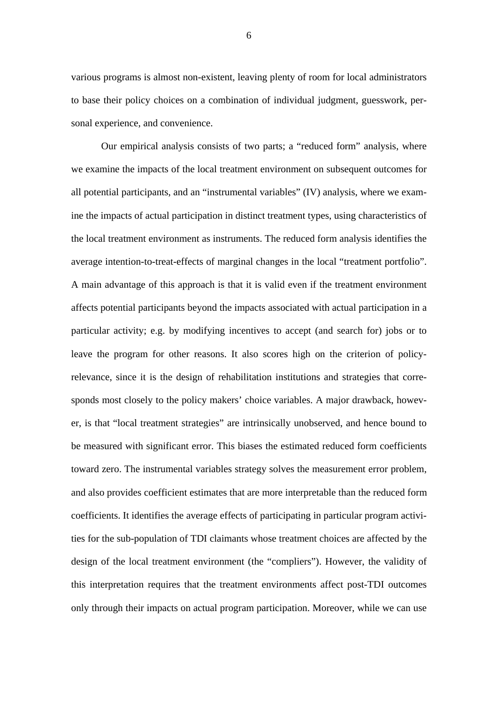various programs is almost non-existent, leaving plenty of room for local administrators to base their policy choices on a combination of individual judgment, guesswork, personal experience, and convenience.

Our empirical analysis consists of two parts; a "reduced form" analysis, where we examine the impacts of the local treatment environment on subsequent outcomes for all potential participants, and an "instrumental variables" (IV) analysis, where we examine the impacts of actual participation in distinct treatment types, using characteristics of the local treatment environment as instruments. The reduced form analysis identifies the average intention-to-treat-effects of marginal changes in the local "treatment portfolio". A main advantage of this approach is that it is valid even if the treatment environment affects potential participants beyond the impacts associated with actual participation in a particular activity; e.g. by modifying incentives to accept (and search for) jobs or to leave the program for other reasons. It also scores high on the criterion of policyrelevance, since it is the design of rehabilitation institutions and strategies that corresponds most closely to the policy makers' choice variables. A major drawback, however, is that "local treatment strategies" are intrinsically unobserved, and hence bound to be measured with significant error. This biases the estimated reduced form coefficients toward zero. The instrumental variables strategy solves the measurement error problem, and also provides coefficient estimates that are more interpretable than the reduced form coefficients. It identifies the average effects of participating in particular program activities for the sub-population of TDI claimants whose treatment choices are affected by the design of the local treatment environment (the "compliers"). However, the validity of this interpretation requires that the treatment environments affect post-TDI outcomes only through their impacts on actual program participation. Moreover, while we can use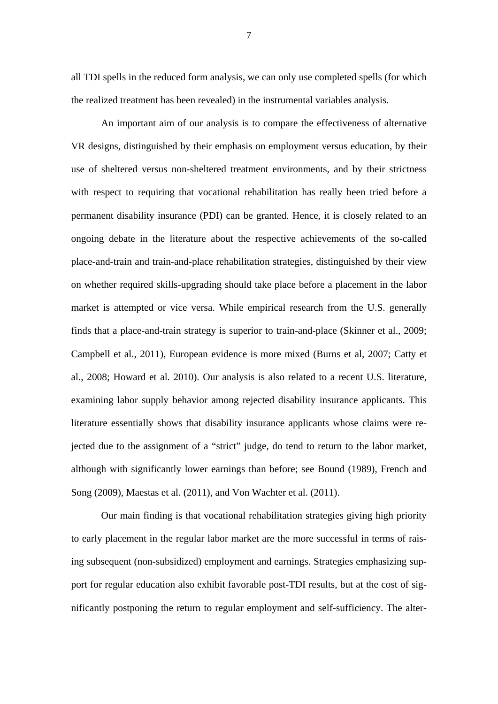all TDI spells in the reduced form analysis, we can only use completed spells (for which the realized treatment has been revealed) in the instrumental variables analysis.

 An important aim of our analysis is to compare the effectiveness of alternative VR designs, distinguished by their emphasis on employment versus education, by their use of sheltered versus non-sheltered treatment environments, and by their strictness with respect to requiring that vocational rehabilitation has really been tried before a permanent disability insurance (PDI) can be granted. Hence, it is closely related to an ongoing debate in the literature about the respective achievements of the so-called place-and-train and train-and-place rehabilitation strategies, distinguished by their view on whether required skills-upgrading should take place before a placement in the labor market is attempted or vice versa. While empirical research from the U.S. generally finds that a place-and-train strategy is superior to train-and-place (Skinner et al., 2009; Campbell et al., 2011), European evidence is more mixed (Burns et al, 2007; Catty et al., 2008; Howard et al. 2010). Our analysis is also related to a recent U.S. literature, examining labor supply behavior among rejected disability insurance applicants. This literature essentially shows that disability insurance applicants whose claims were rejected due to the assignment of a "strict" judge, do tend to return to the labor market, although with significantly lower earnings than before; see Bound (1989), French and Song (2009), Maestas et al. (2011), and Von Wachter et al. (2011).

Our main finding is that vocational rehabilitation strategies giving high priority to early placement in the regular labor market are the more successful in terms of raising subsequent (non-subsidized) employment and earnings. Strategies emphasizing support for regular education also exhibit favorable post-TDI results, but at the cost of significantly postponing the return to regular employment and self-sufficiency. The alter-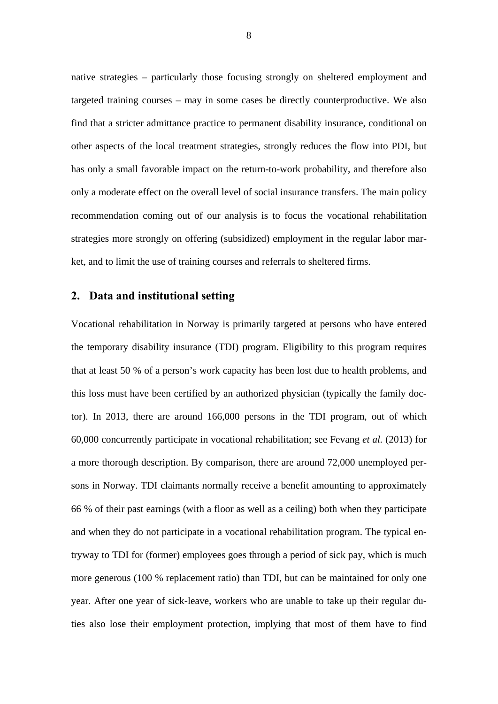native strategies – particularly those focusing strongly on sheltered employment and targeted training courses – may in some cases be directly counterproductive. We also find that a stricter admittance practice to permanent disability insurance, conditional on other aspects of the local treatment strategies, strongly reduces the flow into PDI, but has only a small favorable impact on the return-to-work probability, and therefore also only a moderate effect on the overall level of social insurance transfers. The main policy recommendation coming out of our analysis is to focus the vocational rehabilitation strategies more strongly on offering (subsidized) employment in the regular labor market, and to limit the use of training courses and referrals to sheltered firms.

#### **2. Data and institutional setting**

Vocational rehabilitation in Norway is primarily targeted at persons who have entered the temporary disability insurance (TDI) program. Eligibility to this program requires that at least 50 % of a person's work capacity has been lost due to health problems, and this loss must have been certified by an authorized physician (typically the family doctor). In 2013, there are around 166,000 persons in the TDI program, out of which 60,000 concurrently participate in vocational rehabilitation; see Fevang *et al.* (2013) for a more thorough description. By comparison, there are around 72,000 unemployed persons in Norway. TDI claimants normally receive a benefit amounting to approximately 66 % of their past earnings (with a floor as well as a ceiling) both when they participate and when they do not participate in a vocational rehabilitation program. The typical entryway to TDI for (former) employees goes through a period of sick pay, which is much more generous (100 % replacement ratio) than TDI, but can be maintained for only one year. After one year of sick-leave, workers who are unable to take up their regular duties also lose their employment protection, implying that most of them have to find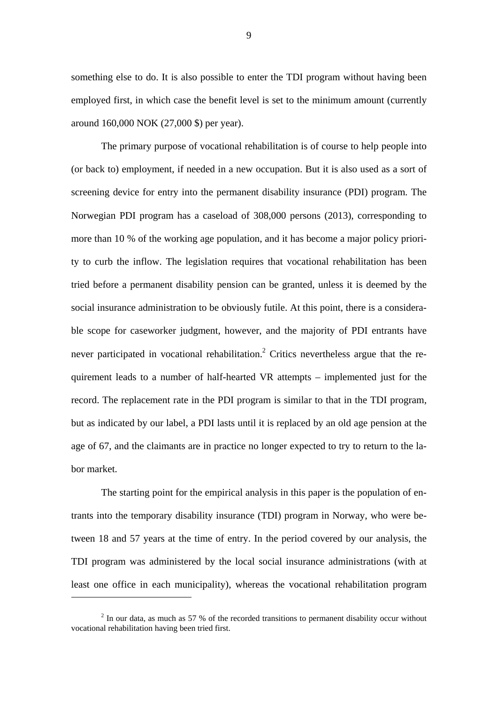something else to do. It is also possible to enter the TDI program without having been employed first, in which case the benefit level is set to the minimum amount (currently around 160,000 NOK (27,000 \$) per year).

 The primary purpose of vocational rehabilitation is of course to help people into (or back to) employment, if needed in a new occupation. But it is also used as a sort of screening device for entry into the permanent disability insurance (PDI) program. The Norwegian PDI program has a caseload of 308,000 persons (2013), corresponding to more than 10 % of the working age population, and it has become a major policy priority to curb the inflow. The legislation requires that vocational rehabilitation has been tried before a permanent disability pension can be granted, unless it is deemed by the social insurance administration to be obviously futile. At this point, there is a considerable scope for caseworker judgment, however, and the majority of PDI entrants have never participated in vocational rehabilitation.<sup>2</sup> Critics nevertheless argue that the requirement leads to a number of half-hearted VR attempts – implemented just for the record. The replacement rate in the PDI program is similar to that in the TDI program, but as indicated by our label, a PDI lasts until it is replaced by an old age pension at the age of 67, and the claimants are in practice no longer expected to try to return to the labor market.

 The starting point for the empirical analysis in this paper is the population of entrants into the temporary disability insurance (TDI) program in Norway, who were between 18 and 57 years at the time of entry. In the period covered by our analysis, the TDI program was administered by the local social insurance administrations (with at least one office in each municipality), whereas the vocational rehabilitation program

 $2 \text{ In our data, as much as 57 }$ % of the recorded transitions to permanent disability occur without vocational rehabilitation having been tried first.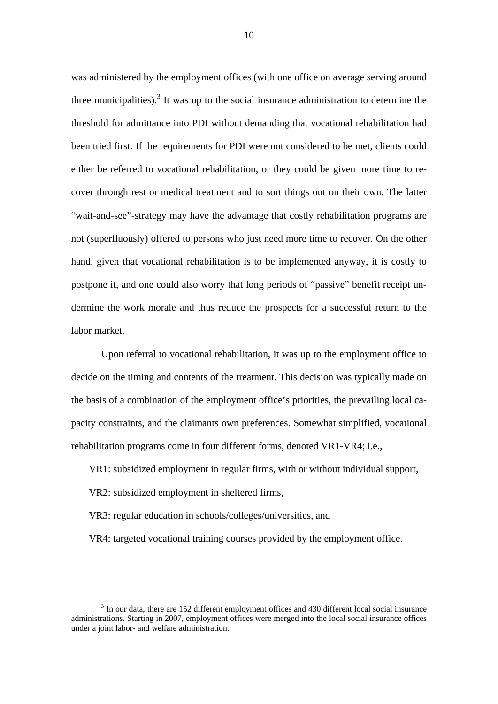was administered by the employment offices (with one office on average serving around three municipalities).<sup>3</sup> It was up to the social insurance administration to determine the threshold for admittance into PDI without demanding that vocational rehabilitation had been tried first. If the requirements for PDI were not considered to be met, clients could either be referred to vocational rehabilitation, or they could be given more time to recover through rest or medical treatment and to sort things out on their own. The latter "wait-and-see"-strategy may have the advantage that costly rehabilitation programs are not (superfluously) offered to persons who just need more time to recover. On the other hand, given that vocational rehabilitation is to be implemented anyway, it is costly to postpone it, and one could also worry that long periods of "passive" benefit receipt undermine the work morale and thus reduce the prospects for a successful return to the labor market.

Upon referral to vocational rehabilitation, it was up to the employment office to decide on the timing and contents of the treatment. This decision was typically made on the basis of a combination of the employment office's priorities, the prevailing local capacity constraints, and the claimants own preferences. Somewhat simplified, vocational rehabilitation programs come in four different forms, denoted VR1-VR4; i.e.,

VR1: subsidized employment in regular firms, with or without individual support,

VR2: subsidized employment in sheltered firms,

1

VR3: regular education in schools/colleges/universities, and

VR4: targeted vocational training courses provided by the employment office.

<sup>&</sup>lt;sup>3</sup> In our data, there are 152 different employment offices and 430 different local social insurance administrations. Starting in 2007, employment offices were merged into the local social insurance offices under a joint labor- and welfare administration.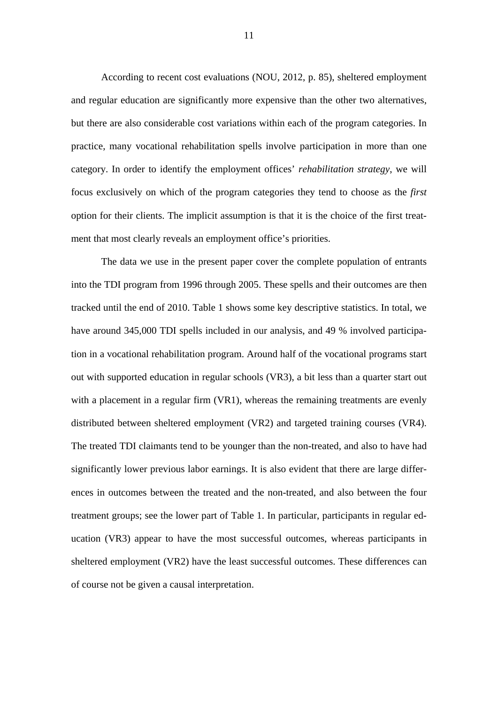According to recent cost evaluations (NOU, 2012, p. 85), sheltered employment and regular education are significantly more expensive than the other two alternatives, but there are also considerable cost variations within each of the program categories. In practice, many vocational rehabilitation spells involve participation in more than one category. In order to identify the employment offices' *rehabilitation strategy*, we will focus exclusively on which of the program categories they tend to choose as the *first*  option for their clients. The implicit assumption is that it is the choice of the first treatment that most clearly reveals an employment office's priorities.

 The data we use in the present paper cover the complete population of entrants into the TDI program from 1996 through 2005. These spells and their outcomes are then tracked until the end of 2010. Table 1 shows some key descriptive statistics. In total, we have around 345,000 TDI spells included in our analysis, and 49 % involved participation in a vocational rehabilitation program. Around half of the vocational programs start out with supported education in regular schools (VR3), a bit less than a quarter start out with a placement in a regular firm (VR1), whereas the remaining treatments are evenly distributed between sheltered employment (VR2) and targeted training courses (VR4). The treated TDI claimants tend to be younger than the non-treated, and also to have had significantly lower previous labor earnings. It is also evident that there are large differences in outcomes between the treated and the non-treated, and also between the four treatment groups; see the lower part of Table 1. In particular, participants in regular education (VR3) appear to have the most successful outcomes, whereas participants in sheltered employment (VR2) have the least successful outcomes. These differences can of course not be given a causal interpretation.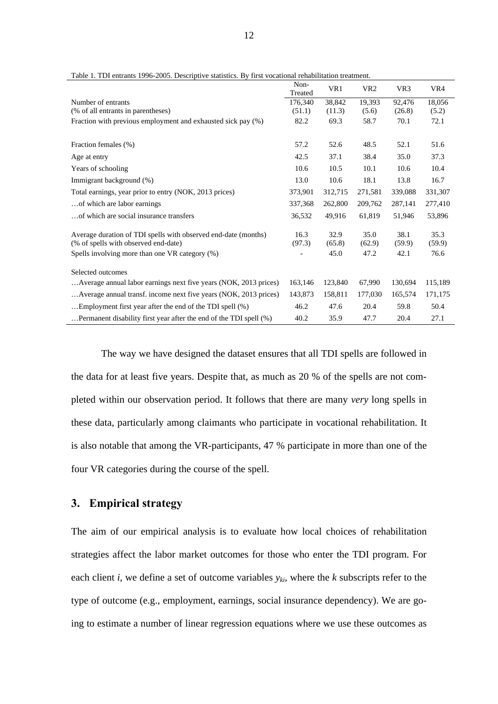|                                                                                                        | Non-<br>Treated | VR1            | VR <sub>2</sub> | VR <sub>3</sub> | VR4            |
|--------------------------------------------------------------------------------------------------------|-----------------|----------------|-----------------|-----------------|----------------|
| Number of entrants                                                                                     | 176,340         | 38,842         | 19,393          | 92,476          | 18,056         |
| (% of all entrants in parentheses)                                                                     | (51.1)          | (11.3)         | (5.6)           | (26.8)          | (5.2)          |
| Fraction with previous employment and exhausted sick pay (%)                                           | 82.2            | 69.3           | 58.7            | 70.1            | 72.1           |
|                                                                                                        |                 |                |                 |                 |                |
| Fraction females (%)                                                                                   | 57.2            | 52.6           | 48.5            | 52.1            | 51.6           |
| Age at entry                                                                                           | 42.5            | 37.1           | 38.4            | 35.0            | 37.3           |
| Years of schooling                                                                                     | 10.6            | 10.5           | 10.1            | 10.6            | 10.4           |
| Immigrant background (%)                                                                               | 13.0            | 10.6           | 18.1            | 13.8            | 16.7           |
| Total earnings, year prior to entry (NOK, 2013 prices)                                                 | 373,901         | 312,715        | 271,581         | 339,088         | 331,307        |
| of which are labor earnings                                                                            | 337,368         | 262,800        | 209,762         | 287.141         | 277,410        |
| of which are social insurance transfers                                                                | 36,532          | 49,916         | 61,819          | 51,946          | 53,896         |
| Average duration of TDI spells with observed end-date (months)<br>(% of spells with observed end-date) | 16.3<br>(97.3)  | 32.9<br>(65.8) | 35.0<br>(62.9)  | 38.1<br>(59.9)  | 35.3<br>(59.9) |
| Spells involving more than one VR category (%)                                                         |                 | 45.0           | 47.2            | 42.1            | 76.6           |
| Selected outcomes                                                                                      |                 |                |                 |                 |                |
| Average annual labor earnings next five years (NOK, 2013 prices)                                       | 163,146         | 123,840        | 67,990          | 130.694         | 115,189        |
| Average annual transf. income next five years (NOK, 2013 prices)                                       | 143,873         | 158,811        | 177,030         | 165,574         | 171,175        |
| Employment first year after the end of the TDI spell (%)                                               | 46.2            | 47.6           | 20.4            | 59.8            | 50.4           |
| Permanent disability first year after the end of the TDI spell (%).                                    | 40.2            | 35.9           | 47.7            | 20.4            | 27.1           |

Table 1. TDI entrants 1996-2005. Descriptive statistics. By first vocational rehabilitation treatment.

The way we have designed the dataset ensures that all TDI spells are followed in the data for at least five years. Despite that, as much as 20 % of the spells are not completed within our observation period. It follows that there are many *very* long spells in these data, particularly among claimants who participate in vocational rehabilitation. It is also notable that among the VR-participants, 47 % participate in more than one of the four VR categories during the course of the spell.

#### **3. Empirical strategy**

The aim of our empirical analysis is to evaluate how local choices of rehabilitation strategies affect the labor market outcomes for those who enter the TDI program. For each client *i*, we define a set of outcome variables *yki*, where the *k* subscripts refer to the type of outcome (e.g., employment, earnings, social insurance dependency). We are going to estimate a number of linear regression equations where we use these outcomes as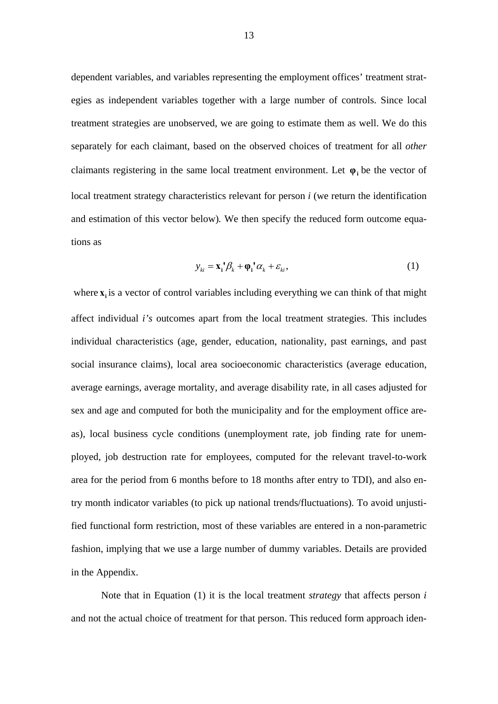dependent variables, and variables representing the employment offices' treatment strategies as independent variables together with a large number of controls. Since local treatment strategies are unobserved, we are going to estimate them as well. We do this separately for each claimant, based on the observed choices of treatment for all *other*  claimants registering in the same local treatment environment. Let  $\varphi_i$  be the vector of local treatment strategy characteristics relevant for person *i* (we return the identification and estimation of this vector below)*.* We then specify the reduced form outcome equations as

$$
y_{ki} = \mathbf{x}_i^{\dagger} \boldsymbol{\beta}_k + \boldsymbol{\varphi}_i^{\dagger} \boldsymbol{\alpha}_k + \boldsymbol{\varepsilon}_{ki},
$$
\n(1)

where  $\bf{x}$  is a vector of control variables including everything we can think of that might affect individual *i's* outcomes apart from the local treatment strategies. This includes individual characteristics (age, gender, education, nationality, past earnings, and past social insurance claims), local area socioeconomic characteristics (average education, average earnings, average mortality, and average disability rate, in all cases adjusted for sex and age and computed for both the municipality and for the employment office areas), local business cycle conditions (unemployment rate, job finding rate for unemployed, job destruction rate for employees, computed for the relevant travel-to-work area for the period from 6 months before to 18 months after entry to TDI), and also entry month indicator variables (to pick up national trends/fluctuations). To avoid unjustified functional form restriction, most of these variables are entered in a non-parametric fashion, implying that we use a large number of dummy variables. Details are provided in the Appendix.

Note that in Equation (1) it is the local treatment *strategy* that affects person *i*  and not the actual choice of treatment for that person. This reduced form approach iden-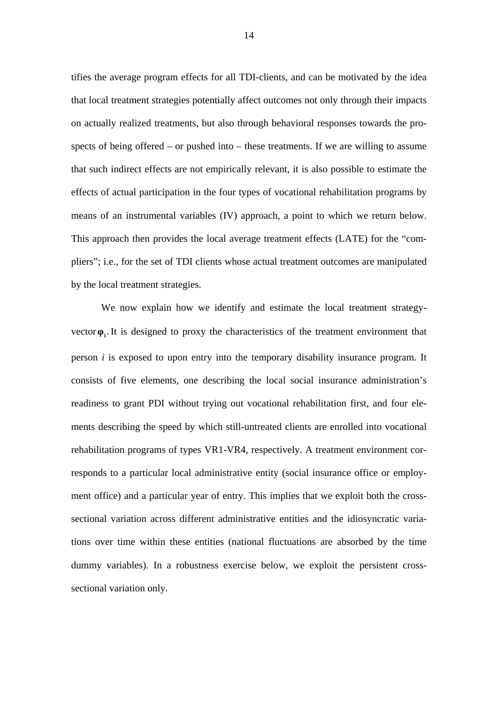tifies the average program effects for all TDI-clients, and can be motivated by the idea that local treatment strategies potentially affect outcomes not only through their impacts on actually realized treatments, but also through behavioral responses towards the prospects of being offered – or pushed into – these treatments. If we are willing to assume that such indirect effects are not empirically relevant, it is also possible to estimate the effects of actual participation in the four types of vocational rehabilitation programs by means of an instrumental variables (IV) approach, a point to which we return below. This approach then provides the local average treatment effects (LATE) for the "compliers"; i.e., for the set of TDI clients whose actual treatment outcomes are manipulated by the local treatment strategies.

We now explain how we identify and estimate the local treatment strategyvector  $\varphi$ <sub>i</sub>. It is designed to proxy the characteristics of the treatment environment that person *i* is exposed to upon entry into the temporary disability insurance program. It consists of five elements, one describing the local social insurance administration's readiness to grant PDI without trying out vocational rehabilitation first, and four elements describing the speed by which still-untreated clients are enrolled into vocational rehabilitation programs of types VR1-VR4, respectively. A treatment environment corresponds to a particular local administrative entity (social insurance office or employment office) and a particular year of entry. This implies that we exploit both the crosssectional variation across different administrative entities and the idiosyncratic variations over time within these entities (national fluctuations are absorbed by the time dummy variables). In a robustness exercise below, we exploit the persistent crosssectional variation only.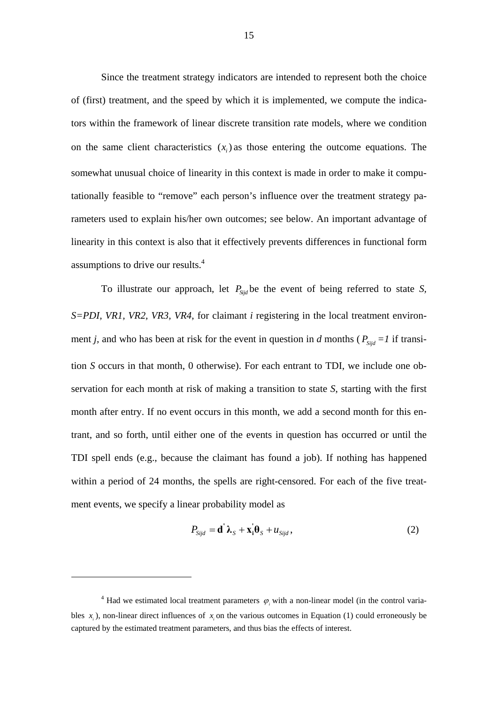Since the treatment strategy indicators are intended to represent both the choice of (first) treatment, and the speed by which it is implemented, we compute the indicators within the framework of linear discrete transition rate models, where we condition on the same client characteristics  $(x_i)$  as those entering the outcome equations. The somewhat unusual choice of linearity in this context is made in order to make it computationally feasible to "remove" each person's influence over the treatment strategy parameters used to explain his/her own outcomes; see below. An important advantage of linearity in this context is also that it effectively prevents differences in functional form assumptions to drive our results.<sup>4</sup>

To illustrate our approach, let  $P_{Sid}$  be the event of being referred to state *S*, *S=PDI, VR1, VR2, VR3, VR4*, for claimant *i* registering in the local treatment environment *j*, and who has been at risk for the event in question in *d* months ( $P_{Sijd} = I$  if transition *S* occurs in that month, 0 otherwise). For each entrant to TDI, we include one observation for each month at risk of making a transition to state *S*, starting with the first month after entry. If no event occurs in this month, we add a second month for this entrant, and so forth, until either one of the events in question has occurred or until the TDI spell ends (e.g., because the claimant has found a job). If nothing has happened within a period of 24 months, the spells are right-censored. For each of the five treatment events, we specify a linear probability model as

$$
P_{Sijd} = \mathbf{d}' \,\lambda_S + \mathbf{x}_i' \mathbf{\theta}_S + u_{Sijd}\,,\tag{2}
$$

<sup>&</sup>lt;sup>4</sup> Had we estimated local treatment parameters  $\varphi$ <sub>i</sub> with a non-linear model (in the control variables  $x$ ), non-linear direct influences of  $x$  on the various outcomes in Equation (1) could erroneously be captured by the estimated treatment parameters, and thus bias the effects of interest.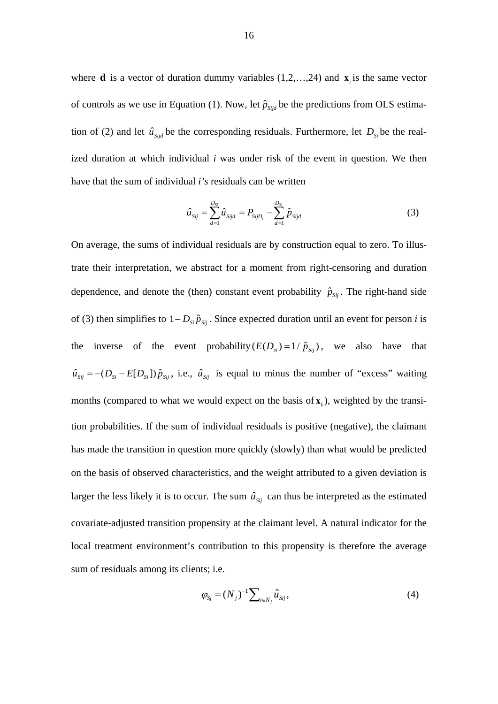where **d** is a vector of duration dummy variables  $(1, 2, \ldots, 24)$  and  $\mathbf{x}_i$  is the same vector of controls as we use in Equation (1). Now, let  $\hat{p}_{\text{Siid}}$  be the predictions from OLS estimation of (2) and let  $\hat{u}_{sijd}$  be the corresponding residuals. Furthermore, let  $D_{si}$  be the realized duration at which individual *i* was under risk of the event in question. We then have that the sum of individual *i's* residuals can be written

$$
\hat{u}_{Sij} = \sum_{d=1}^{D_{Si}} \hat{u}_{Sijd} = P_{SijD_i} - \sum_{d=1}^{D_{Si}} \hat{p}_{Sijd}
$$
\n(3)

On average, the sums of individual residuals are by construction equal to zero. To illustrate their interpretation, we abstract for a moment from right-censoring and duration dependence, and denote the (then) constant event probability  $\hat{p}_{sij}$ . The right-hand side of (3) then simplifies to  $1 - D_{si} \hat{p}_{sij}$ . Since expected duration until an event for person *i* is the inverse of the event probability  $(E(D_{si}) = 1/\hat{p}_{sij})$ , we also have that  $\hat{u}_{sii} = -(D_{si} - E[D_{si}])\hat{p}_{sii}$ , i.e.,  $\hat{u}_{sii}$  is equal to minus the number of "excess" waiting months (compared to what we would expect on the basis of  $\mathbf{x}_i$ ), weighted by the transition probabilities. If the sum of individual residuals is positive (negative), the claimant has made the transition in question more quickly (slowly) than what would be predicted on the basis of observed characteristics, and the weight attributed to a given deviation is larger the less likely it is to occur. The sum  $\hat{u}_{sij}$  can thus be interpreted as the estimated covariate-adjusted transition propensity at the claimant level. A natural indicator for the local treatment environment's contribution to this propensity is therefore the average sum of residuals among its clients; i.e.

$$
\varphi_{Sj} = (N_j)^{-1} \sum_{i \in N_j} \hat{u}_{Sij}, \tag{4}
$$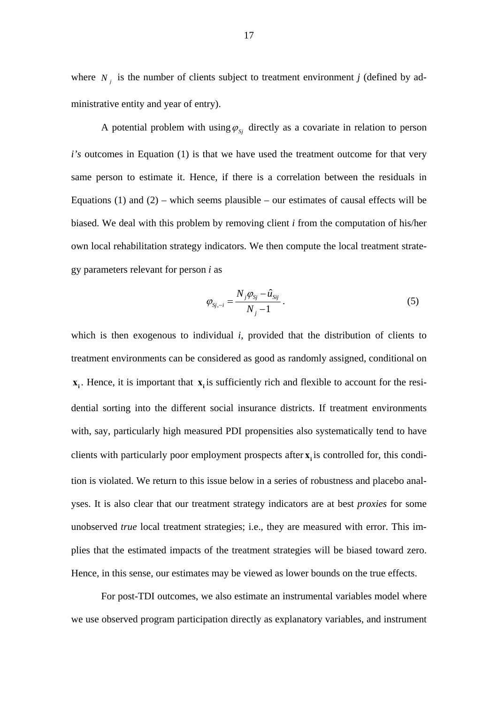where  $N_i$  is the number of clients subject to treatment environment *j* (defined by administrative entity and year of entry).

A potential problem with using  $\varphi_{si}$  directly as a covariate in relation to person *i's* outcomes in Equation (1) is that we have used the treatment outcome for that very same person to estimate it. Hence, if there is a correlation between the residuals in Equations (1) and (2) – which seems plausible – our estimates of causal effects will be biased. We deal with this problem by removing client *i* from the computation of his/her own local rehabilitation strategy indicators. We then compute the local treatment strategy parameters relevant for person *i* as

$$
\varphi_{s_{j,-i}} = \frac{N_j \varphi_{s_j} - \hat{u}_{s_{ij}}}{N_j - 1} \,. \tag{5}
$$

which is then exogenous to individual *i*, provided that the distribution of clients to treatment environments can be considered as good as randomly assigned, conditional on  $\mathbf{x}_i$ . Hence, it is important that  $\mathbf{x}_i$  is sufficiently rich and flexible to account for the residential sorting into the different social insurance districts. If treatment environments with, say, particularly high measured PDI propensities also systematically tend to have clients with particularly poor employment prospects after **x** is controlled for, this condition is violated. We return to this issue below in a series of robustness and placebo analyses. It is also clear that our treatment strategy indicators are at best *proxies* for some unobserved *true* local treatment strategies; i.e., they are measured with error. This implies that the estimated impacts of the treatment strategies will be biased toward zero. Hence, in this sense, our estimates may be viewed as lower bounds on the true effects.

 For post-TDI outcomes, we also estimate an instrumental variables model where we use observed program participation directly as explanatory variables, and instrument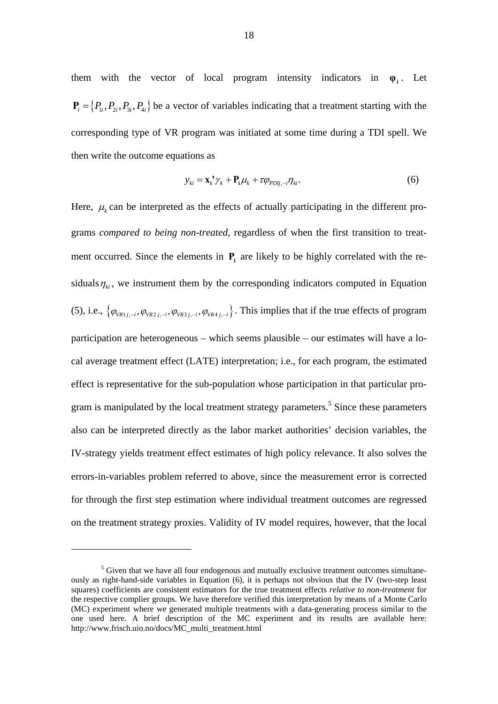them with the vector of local program intensity indicators in  $\varphi$ <sup>i</sup>. Let  $P_i = \{P_i, P_i, P_i, P_i\}$  be a vector of variables indicating that a treatment starting with the corresponding type of VR program was initiated at some time during a TDI spell. We then write the outcome equations as

$$
y_{ki} = \mathbf{x}_i^{\ \prime} \gamma_k + \mathbf{P}_i \mu_k + \tau \varphi_{PDij, -i} \eta_{ki}.
$$
 (6)

Here,  $\mu_k$  can be interpreted as the effects of actually participating in the different programs *compared to being non-treated*, regardless of when the first transition to treatment occurred. Since the elements in  $P_i$  are likely to be highly correlated with the residuals  $\eta_{ki}$ , we instrument them by the corresponding indicators computed in Equation (5), i.e.,  $\{\varphi_{V_{R1}}_{i,j}, \varphi_{V_{R2}}_{i,j}, \varphi_{V_{R3}}_{i,j}, i}, \varphi_{V_{R4}}_{i,j}, i}\}$ . This implies that if the true effects of program participation are heterogeneous – which seems plausible – our estimates will have a local average treatment effect (LATE) interpretation; i.e., for each program, the estimated effect is representative for the sub-population whose participation in that particular program is manipulated by the local treatment strategy parameters.<sup>5</sup> Since these parameters also can be interpreted directly as the labor market authorities' decision variables, the IV-strategy yields treatment effect estimates of high policy relevance. It also solves the errors-in-variables problem referred to above, since the measurement error is corrected for through the first step estimation where individual treatment outcomes are regressed on the treatment strategy proxies. Validity of IV model requires, however, that the local

 $<sup>5</sup>$  Given that we have all four endogenous and mutually exclusive treatment outcomes simultane-</sup> ously as right-hand-side variables in Equation (6), it is perhaps not obvious that the IV (two-step least squares) coefficients are consistent estimators for the true treatment effects *relative to non-treatment* for the respective complier groups. We have therefore verified this interpretation by means of a Monte Carlo (MC) experiment where we generated multiple treatments with a data-generating process similar to the one used here. A brief description of the MC experiment and its results are available here: http://www.frisch.uio.no/docs/MC\_multi\_treatment.html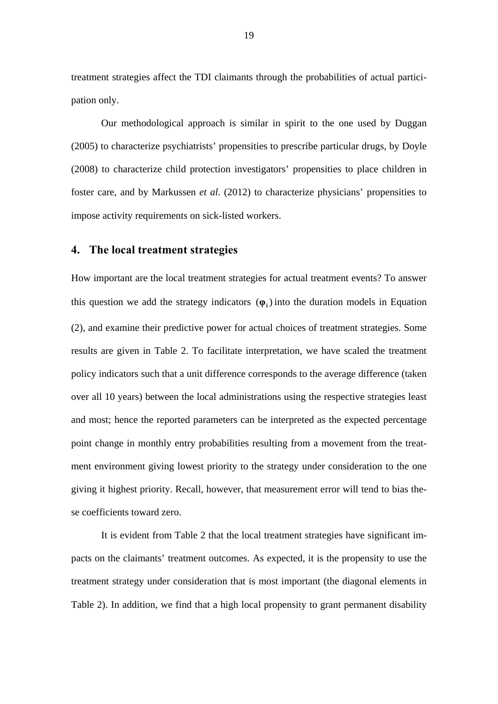treatment strategies affect the TDI claimants through the probabilities of actual participation only.

Our methodological approach is similar in spirit to the one used by Duggan (2005) to characterize psychiatrists' propensities to prescribe particular drugs, by Doyle (2008) to characterize child protection investigators' propensities to place children in foster care, and by Markussen *et al*. (2012) to characterize physicians' propensities to impose activity requirements on sick-listed workers.

#### **4. The local treatment strategies**

How important are the local treatment strategies for actual treatment events? To answer this question we add the strategy indicators  $(\varphi)$  into the duration models in Equation (2), and examine their predictive power for actual choices of treatment strategies. Some results are given in Table 2. To facilitate interpretation, we have scaled the treatment policy indicators such that a unit difference corresponds to the average difference (taken over all 10 years) between the local administrations using the respective strategies least and most; hence the reported parameters can be interpreted as the expected percentage point change in monthly entry probabilities resulting from a movement from the treatment environment giving lowest priority to the strategy under consideration to the one giving it highest priority. Recall, however, that measurement error will tend to bias these coefficients toward zero.

It is evident from Table 2 that the local treatment strategies have significant impacts on the claimants' treatment outcomes. As expected, it is the propensity to use the treatment strategy under consideration that is most important (the diagonal elements in Table 2). In addition, we find that a high local propensity to grant permanent disability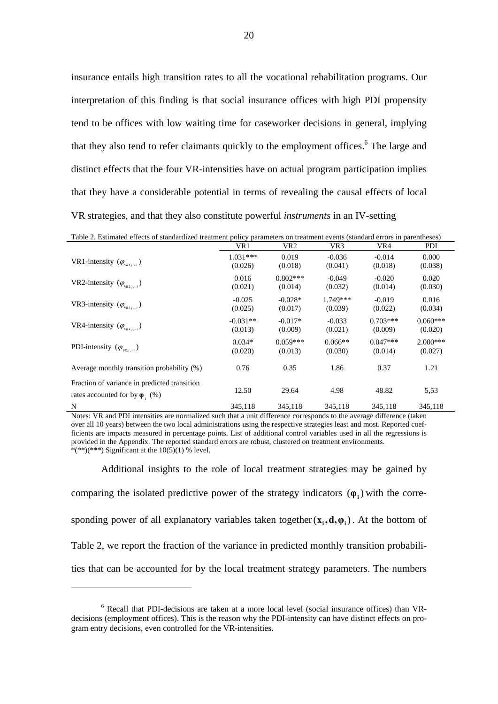insurance entails high transition rates to all the vocational rehabilitation programs. Our interpretation of this finding is that social insurance offices with high PDI propensity tend to be offices with low waiting time for caseworker decisions in general, implying that they also tend to refer claimants quickly to the employment offices.<sup>6</sup> The large and distinct effects that the four VR-intensities have on actual program participation implies that they have a considerable potential in terms of revealing the causal effects of local VR strategies, and that they also constitute powerful *instruments* in an IV-setting

| Table 2. Estimated effects of standardized treatment policy parameters on treatment events (standard errors in parentheses) |            |            |            |            |            |
|-----------------------------------------------------------------------------------------------------------------------------|------------|------------|------------|------------|------------|
|                                                                                                                             | VR1        | VR2        | VR3        | VR4        | PDI        |
| VR1-intensity $(\varphi_{\text{val}})$                                                                                      | $1.031***$ | 0.019      | $-0.036$   | $-0.014$   | 0.000      |
|                                                                                                                             | (0.026)    | (0.018)    | (0.041)    | (0.018)    | (0.038)    |
| VR2-intensity $(\varphi_{\text{VRT}_{i-1}})$                                                                                | 0.016      | $0.802***$ | $-0.049$   | $-0.020$   | 0.020      |
|                                                                                                                             | (0.021)    | (0.014)    | (0.032)    | (0.014)    | (0.030)    |
| VR3-intensity $(\varphi_{\text{VRS},i-i})$                                                                                  | $-0.025$   | $-0.028*$  | $1.749***$ | $-0.019$   | 0.016      |
|                                                                                                                             | (0.025)    | (0.017)    | (0.039)    | (0.022)    | (0.034)    |
| VR4-intensity $(\varphi_{\text{VR4}})$                                                                                      | $-0.031**$ | $-0.017*$  | $-0.033$   | $0.703***$ | $0.060***$ |
|                                                                                                                             | (0.013)    | (0.009)    | (0.021)    | (0.009)    | (0.020)    |
| PDI-intensity $(\varphi_{\text{p}_{\text{Dli},-i}})$                                                                        | $0.034*$   | $0.059***$ | $0.066**$  | $0.047***$ | $2.000***$ |
|                                                                                                                             | (0.020)    | (0.013)    | (0.030)    | (0.014)    | (0.027)    |
| Average monthly transition probability (%)                                                                                  | 0.76       | 0.35       | 1.86       | 0.37       | 1.21       |
| Fraction of variance in predicted transition<br>rates accounted for by $\varphi$ . (%)                                      | 12.50      | 29.64      | 4.98       | 48.82      | 5,53       |
| N                                                                                                                           | 345,118    | 345,118    | 345,118    | 345,118    | 345,118    |

Notes: VR and PDI intensities are normalized such that a unit difference corresponds to the average difference (taken over all 10 years) between the two local administrations using the respective strategies least and most. Reported coefficients are impacts measured in percentage points. List of additional control variables used in all the regressions is provided in the Appendix. The reported standard errors are robust, clustered on treatment environments. \*(\*\*)(\*\*\*) Significant at the  $10(5)(1)$  % level.

Additional insights to the role of local treatment strategies may be gained by comparing the isolated predictive power of the strategy indicators  $(\varphi)$  with the corresponding power of all explanatory variables taken together  $(x_i, d, \varphi)$ . At the bottom of Table 2, we report the fraction of the variance in predicted monthly transition probabilities that can be accounted for by the local treatment strategy parameters. The numbers

<sup>6</sup> Recall that PDI-decisions are taken at a more local level (social insurance offices) than VRdecisions (employment offices). This is the reason why the PDI-intensity can have distinct effects on program entry decisions, even controlled for the VR-intensities.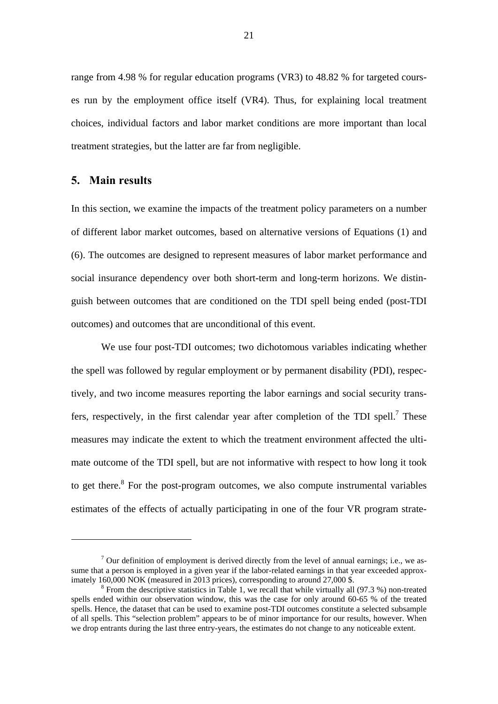range from 4.98 % for regular education programs (VR3) to 48.82 % for targeted courses run by the employment office itself (VR4). Thus, for explaining local treatment choices, individual factors and labor market conditions are more important than local treatment strategies, but the latter are far from negligible.

#### **5. Main results**

1

In this section, we examine the impacts of the treatment policy parameters on a number of different labor market outcomes, based on alternative versions of Equations (1) and (6). The outcomes are designed to represent measures of labor market performance and social insurance dependency over both short-term and long-term horizons. We distinguish between outcomes that are conditioned on the TDI spell being ended (post-TDI outcomes) and outcomes that are unconditional of this event.

We use four post-TDI outcomes; two dichotomous variables indicating whether the spell was followed by regular employment or by permanent disability (PDI), respectively, and two income measures reporting the labor earnings and social security transfers, respectively, in the first calendar year after completion of the TDI spell.<sup>7</sup> These measures may indicate the extent to which the treatment environment affected the ultimate outcome of the TDI spell, but are not informative with respect to how long it took to get there. $8$  For the post-program outcomes, we also compute instrumental variables estimates of the effects of actually participating in one of the four VR program strate-

 $<sup>7</sup>$  Our definition of employment is derived directly from the level of annual earnings; i.e., we as-</sup> sume that a person is employed in a given year if the labor-related earnings in that year exceeded approximately 160,000 NOK (measured in 2013 prices), corresponding to around 27,000 \$.

 $8$  From the descriptive statistics in Table 1, we recall that while virtually all (97.3 %) non-treated spells ended within our observation window, this was the case for only around 60-65 % of the treated spells. Hence, the dataset that can be used to examine post-TDI outcomes constitute a selected subsample of all spells. This "selection problem" appears to be of minor importance for our results, however. When we drop entrants during the last three entry-years, the estimates do not change to any noticeable extent.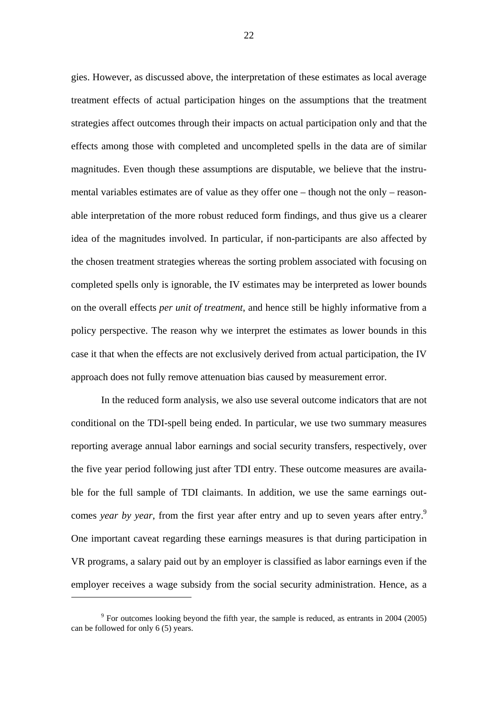gies. However, as discussed above, the interpretation of these estimates as local average treatment effects of actual participation hinges on the assumptions that the treatment strategies affect outcomes through their impacts on actual participation only and that the effects among those with completed and uncompleted spells in the data are of similar magnitudes. Even though these assumptions are disputable, we believe that the instrumental variables estimates are of value as they offer one – though not the only – reasonable interpretation of the more robust reduced form findings, and thus give us a clearer idea of the magnitudes involved. In particular, if non-participants are also affected by the chosen treatment strategies whereas the sorting problem associated with focusing on completed spells only is ignorable, the IV estimates may be interpreted as lower bounds on the overall effects *per unit of treatment*, and hence still be highly informative from a policy perspective. The reason why we interpret the estimates as lower bounds in this case it that when the effects are not exclusively derived from actual participation, the IV approach does not fully remove attenuation bias caused by measurement error.

In the reduced form analysis, we also use several outcome indicators that are not conditional on the TDI-spell being ended. In particular, we use two summary measures reporting average annual labor earnings and social security transfers, respectively, over the five year period following just after TDI entry. These outcome measures are available for the full sample of TDI claimants. In addition, we use the same earnings outcomes *year by year*, from the first year after entry and up to seven years after entry.<sup>9</sup> One important caveat regarding these earnings measures is that during participation in VR programs, a salary paid out by an employer is classified as labor earnings even if the employer receives a wage subsidy from the social security administration. Hence, as a

 $9^9$  For outcomes looking beyond the fifth year, the sample is reduced, as entrants in 2004 (2005) can be followed for only 6 (5) years.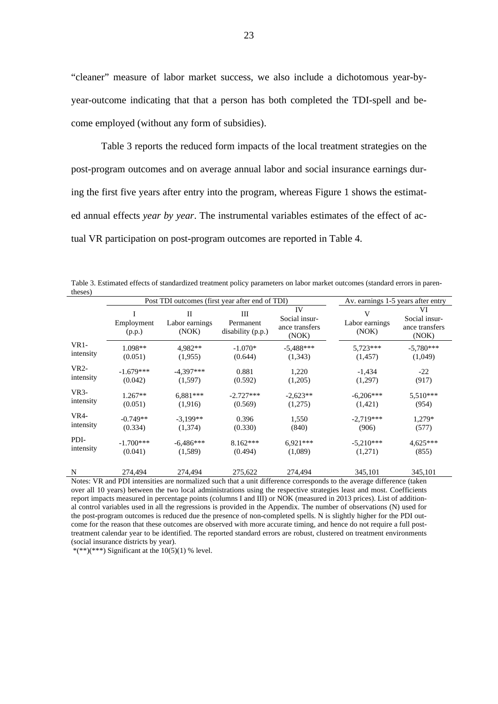"cleaner" measure of labor market success, we also include a dichotomous year-byyear-outcome indicating that that a person has both completed the TDI-spell and become employed (without any form of subsidies).

Table 3 reports the reduced form impacts of the local treatment strategies on the post-program outcomes and on average annual labor and social insurance earnings during the first five years after entry into the program, whereas Figure 1 shows the estimated annual effects *year by year*. The instrumental variables estimates of the effect of actual VR participation on post-program outcomes are reported in Table 4.

Table 3. Estimated effects of standardized treatment policy parameters on labor market outcomes (standard errors in parentheses)

|                           | Post TDI outcomes (first year after end of TDI) |                              |                                                 |                                                | Av. earnings 1-5 years after entry |                                                |
|---------------------------|-------------------------------------------------|------------------------------|-------------------------------------------------|------------------------------------------------|------------------------------------|------------------------------------------------|
|                           | Employment<br>(p.p.)                            | П<br>Labor earnings<br>(NOK) | Ш<br>Permanent<br>disability (p.p.)             | IV<br>Social insur-<br>ance transfers<br>(NOK) | V<br>Labor earnings<br>(NOK)       | VI<br>Social insur-<br>ance transfers<br>(NOK) |
| $VR1-$                    | 1.098**                                         | 4.982**                      | $-1.070*$                                       | $-5,488***$                                    | 5,723***                           | $-5,780***$                                    |
| intensity                 | (0.051)                                         | (1,955)                      | (0.644)                                         | (1,343)                                        | (1, 457)                           | (1,049)                                        |
| VR2-                      | $-1.679***$                                     | $-4,397***$                  | 0.881                                           | 1,220                                          | $-1,434$                           | $-22$                                          |
| intensity                 | (0.042)                                         | (1,597)                      | (0.592)                                         | (1,205)                                        | (1,297)                            | (917)                                          |
| VR <sub>3</sub> -         | $1.267**$                                       | $6.881***$                   | $-2.727***$                                     | $-2,623**$                                     | $-6,206***$                        | 5,510***                                       |
| intensity                 | (0.051)                                         | (1,916)                      | (0.569)                                         | (1,275)                                        | (1,421)                            | (954)                                          |
| <b>VR4-</b>               | $-0.749**$                                      | $-3,199**$                   | 0.396                                           | 1,550                                          | $-2,719***$                        | 1,279*                                         |
| intensity                 | (0.334)                                         | (1,374)                      | (0.330)                                         | (840)                                          | (906)                              | (577)                                          |
| PDI-                      | $-1.700***$                                     | $-6.486***$                  | $8.162***$                                      | $6.921***$                                     | $-5,210***$                        | $4,625***$                                     |
| intensity                 | (0.041)                                         | (1,589)                      | (0.494)                                         | (1,089)                                        | (1,271)                            | (855)                                          |
| N                         | 274,494                                         | 274,494                      | 275,622                                         | 274,494                                        | 345,101                            | 345,101                                        |
| $\mathbf{M}$ $\mathbf{I}$ | $1 \text{DM}$                                   |                              | $\cdot$ $\cdot$ $\cdot$ $\cdot$ $\cdot$ $\cdot$ | 1.4.41                                         | 1.00                               | $(1 \ 1)$                                      |

Notes: VR and PDI intensities are normalized such that a unit difference corresponds to the average difference (taken over all 10 years) between the two local administrations using the respective strategies least and most. Coefficients report impacts measured in percentage points (columns I and III) or NOK (measured in 2013 prices). List of additional control variables used in all the regressions is provided in the Appendix. The number of observations (N) used for the post-program outcomes is reduced due the presence of non-completed spells. N is slightly higher for the PDI outcome for the reason that these outcomes are observed with more accurate timing, and hence do not require a full posttreatment calendar year to be identified. The reported standard errors are robust, clustered on treatment environments (social insurance districts by year).

\*(\*\*)(\*\*\*) Significant at the  $10(5)(1)$  % level.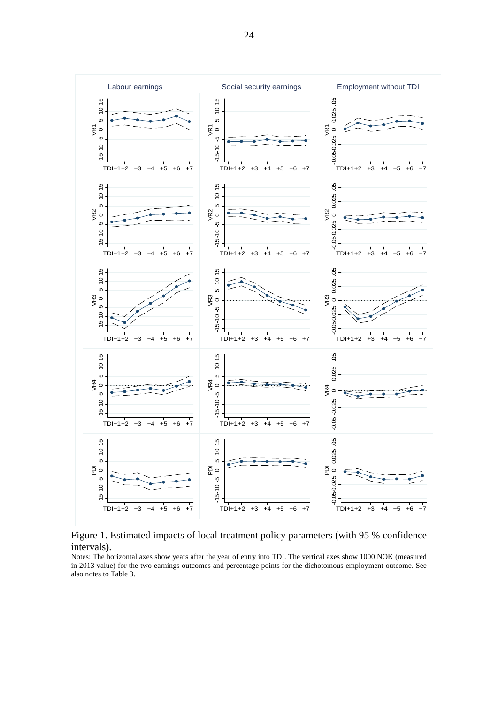

Figure 1. Estimated impacts of local treatment policy parameters (with 95 % confidence intervals).

Notes: The horizontal axes show years after the year of entry into TDI. The vertical axes show 1000 NOK (measured in 2013 value) for the two earnings outcomes and percentage points for the dichotomous employment outcome. See also notes to Table 3.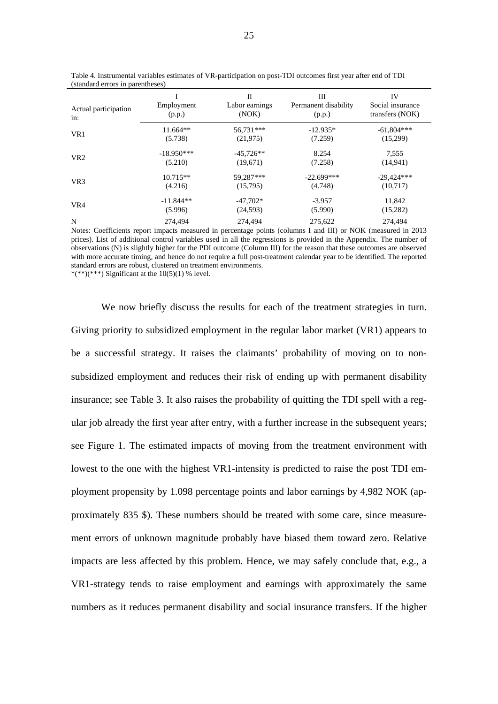| Actual participation<br>in: | Employment<br>(p.p.) | H<br>Labor earnings<br>(NOK) | Ш<br>Permanent disability<br>(p.p.) | IV<br>Social insurance<br>transfers (NOK) |
|-----------------------------|----------------------|------------------------------|-------------------------------------|-------------------------------------------|
| VR1                         | $11.664**$           | 56.731***                    | $-12.935*$                          | $-61,804***$                              |
|                             | (5.738)              | (21, 975)                    | (7.259)                             | (15,299)                                  |
| VR <sub>2</sub>             | $-18.950***$         | $-45.726**$                  | 8.254                               | 7.555                                     |
|                             | (5.210)              | (19,671)                     | (7.258)                             | (14, 941)                                 |
| VR <sub>3</sub>             | $10.715**$           | 59.287***                    | $-22.699***$                        | $-29,424***$                              |
|                             | (4.216)              | (15,795)                     | (4.748)                             | (10,717)                                  |
| VR4                         | $-11.844**$          | $-47.702*$                   | $-3.957$                            | 11,842                                    |
|                             | (5.996)              | (24, 593)                    | (5.990)                             | (15,282)                                  |
| N                           | 274,494              | 274,494                      | 275,622                             | 274,494                                   |

Table 4. Instrumental variables estimates of VR-participation on post-TDI outcomes first year after end of TDI (standard errors in parentheses)

Notes: Coefficients report impacts measured in percentage points (columns I and III) or NOK (measured in 2013 prices). List of additional control variables used in all the regressions is provided in the Appendix. The number of observations (N) is slightly higher for the PDI outcome (Column III) for the reason that these outcomes are observed with more accurate timing, and hence do not require a full post-treatment calendar year to be identified. The reported standard errors are robust, clustered on treatment environments. \*(\*\*)(\*\*\*) Significant at the  $10(5)(1)$  % level.

We now briefly discuss the results for each of the treatment strategies in turn. Giving priority to subsidized employment in the regular labor market (VR1) appears to be a successful strategy. It raises the claimants' probability of moving on to nonsubsidized employment and reduces their risk of ending up with permanent disability insurance; see Table 3. It also raises the probability of quitting the TDI spell with a regular job already the first year after entry, with a further increase in the subsequent years; see Figure 1. The estimated impacts of moving from the treatment environment with lowest to the one with the highest VR1-intensity is predicted to raise the post TDI employment propensity by 1.098 percentage points and labor earnings by 4,982 NOK (approximately 835 \$). These numbers should be treated with some care, since measurement errors of unknown magnitude probably have biased them toward zero. Relative impacts are less affected by this problem. Hence, we may safely conclude that, e.g., a VR1-strategy tends to raise employment and earnings with approximately the same numbers as it reduces permanent disability and social insurance transfers. If the higher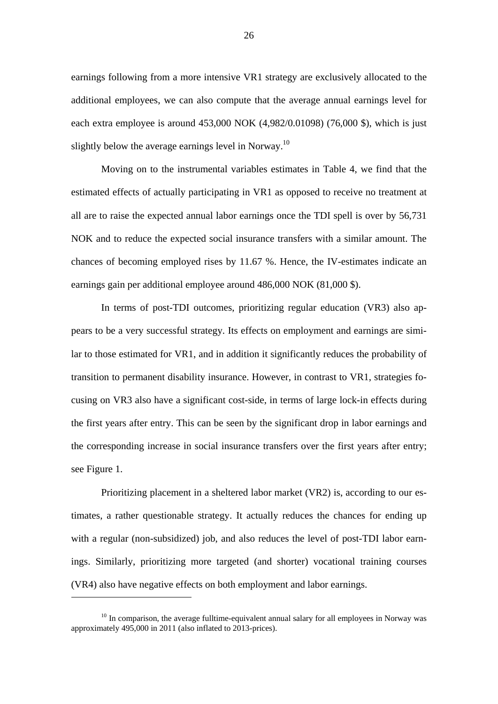earnings following from a more intensive VR1 strategy are exclusively allocated to the additional employees, we can also compute that the average annual earnings level for each extra employee is around 453,000 NOK (4,982/0.01098) (76,000 \$), which is just slightly below the average earnings level in Norway.<sup>10</sup>

Moving on to the instrumental variables estimates in Table 4, we find that the estimated effects of actually participating in VR1 as opposed to receive no treatment at all are to raise the expected annual labor earnings once the TDI spell is over by 56,731 NOK and to reduce the expected social insurance transfers with a similar amount. The chances of becoming employed rises by 11.67 %. Hence, the IV-estimates indicate an earnings gain per additional employee around 486,000 NOK (81,000 \$).

In terms of post-TDI outcomes, prioritizing regular education (VR3) also appears to be a very successful strategy. Its effects on employment and earnings are similar to those estimated for VR1, and in addition it significantly reduces the probability of transition to permanent disability insurance. However, in contrast to VR1, strategies focusing on VR3 also have a significant cost-side, in terms of large lock-in effects during the first years after entry. This can be seen by the significant drop in labor earnings and the corresponding increase in social insurance transfers over the first years after entry; see Figure 1.

Prioritizing placement in a sheltered labor market (VR2) is, according to our estimates, a rather questionable strategy. It actually reduces the chances for ending up with a regular (non-subsidized) job, and also reduces the level of post-TDI labor earnings. Similarly, prioritizing more targeted (and shorter) vocational training courses (VR4) also have negative effects on both employment and labor earnings.

 $10$  In comparison, the average fulltime-equivalent annual salary for all employees in Norway was approximately 495,000 in 2011 (also inflated to 2013-prices).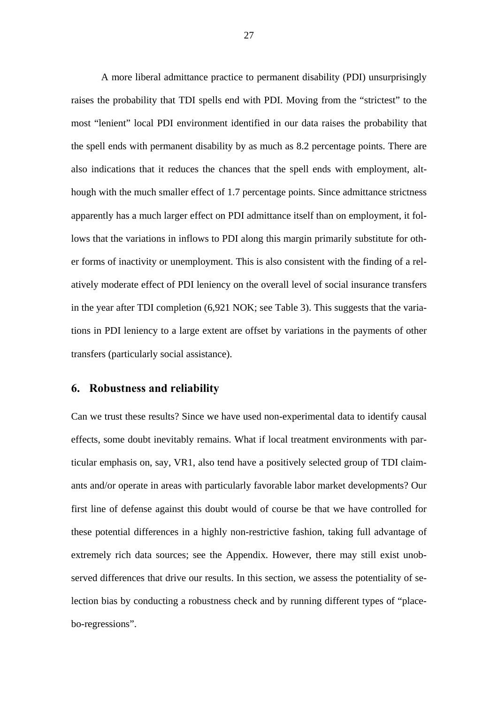A more liberal admittance practice to permanent disability (PDI) unsurprisingly raises the probability that TDI spells end with PDI. Moving from the "strictest" to the most "lenient" local PDI environment identified in our data raises the probability that the spell ends with permanent disability by as much as 8.2 percentage points. There are also indications that it reduces the chances that the spell ends with employment, although with the much smaller effect of 1.7 percentage points. Since admittance strictness apparently has a much larger effect on PDI admittance itself than on employment, it follows that the variations in inflows to PDI along this margin primarily substitute for other forms of inactivity or unemployment. This is also consistent with the finding of a relatively moderate effect of PDI leniency on the overall level of social insurance transfers in the year after TDI completion (6,921 NOK; see Table 3). This suggests that the variations in PDI leniency to a large extent are offset by variations in the payments of other transfers (particularly social assistance).

#### **6. Robustness and reliability**

Can we trust these results? Since we have used non-experimental data to identify causal effects, some doubt inevitably remains. What if local treatment environments with particular emphasis on, say, VR1, also tend have a positively selected group of TDI claimants and/or operate in areas with particularly favorable labor market developments? Our first line of defense against this doubt would of course be that we have controlled for these potential differences in a highly non-restrictive fashion, taking full advantage of extremely rich data sources; see the Appendix. However, there may still exist unobserved differences that drive our results. In this section, we assess the potentiality of selection bias by conducting a robustness check and by running different types of "placebo-regressions".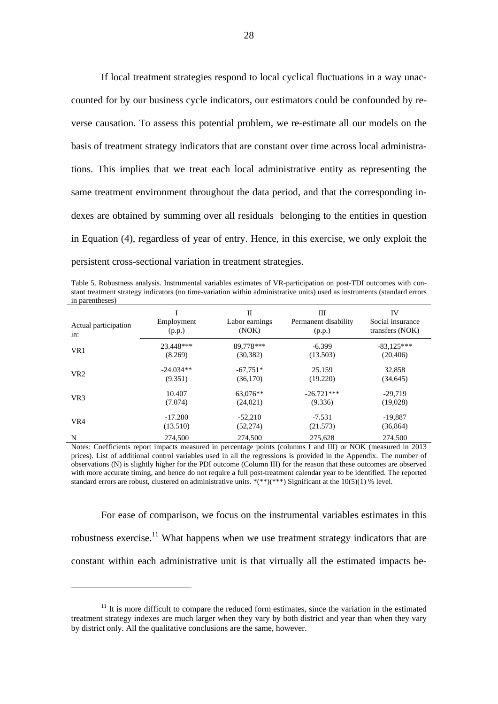If local treatment strategies respond to local cyclical fluctuations in a way unaccounted for by our business cycle indicators, our estimators could be confounded by reverse causation. To assess this potential problem, we re-estimate all our models on the basis of treatment strategy indicators that are constant over time across local administrations. This implies that we treat each local administrative entity as representing the same treatment environment throughout the data period, and that the corresponding indexes are obtained by summing over all residuals belonging to the entities in question in Equation (4), regardless of year of entry. Hence, in this exercise, we only exploit the persistent cross-sectional variation in treatment strategies.

Table 5. Robustness analysis. Instrumental variables estimates of VR-participation on post-TDI outcomes with constant treatment strategy indicators (no time-variation within administrative units) used as instruments (standard errors in parentheses)

| Actual participation<br>in: | Employment<br>(p.p.) | H<br>Labor earnings<br>(NOK) | Ш<br>Permanent disability<br>(p.p.) | IV<br>Social insurance<br>transfers (NOK) |
|-----------------------------|----------------------|------------------------------|-------------------------------------|-------------------------------------------|
| VR1                         | 23.448***            | 89.778***                    | $-6.399$                            | $-83.125***$                              |
|                             | (8.269)              | (30, 382)                    | (13.503)                            | (20, 406)                                 |
| VR <sub>2</sub>             | $-24.034**$          | $-67.751*$                   | 25.159                              | 32,858                                    |
|                             | (9.351)              | (36,170)                     | (19.220)                            | (34, 645)                                 |
| VR <sub>3</sub>             | 10.407               | 63,076**                     | $-26.721***$                        | $-29.719$                                 |
|                             | (7.074)              | (24,021)                     | (9.336)                             | (19,028)                                  |
| VR4                         | $-17.280$            | $-52,210$                    | $-7.531$                            | $-19,887$                                 |
|                             | (13.510)             | (52, 274)                    | (21.573)                            | (36, 864)                                 |
| N                           | 274,500              | 274,500                      | 275,628                             | 274,500                                   |

Notes: Coefficients report impacts measured in percentage points (columns I and III) or NOK (measured in 2013 prices). List of additional control variables used in all the regressions is provided in the Appendix. The number of observations (N) is slightly higher for the PDI outcome (Column III) for the reason that these outcomes are observed with more accurate timing, and hence do not require a full post-treatment calendar year to be identified. The reported standard errors are robust, clustered on administrative units. \*(\*\*)(\*\*\*) Significant at the 10(5)(1) % level.

For ease of comparison, we focus on the instrumental variables estimates in this robustness exercise.<sup>11</sup> What happens when we use treatment strategy indicators that are constant within each administrative unit is that virtually all the estimated impacts be-

 $11$  It is more difficult to compare the reduced form estimates, since the variation in the estimated treatment strategy indexes are much larger when they vary by both district and year than when they vary by district only. All the qualitative conclusions are the same, however.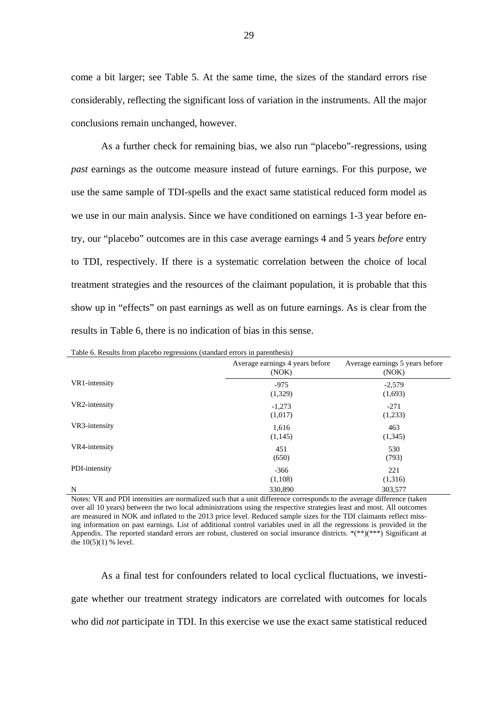come a bit larger; see Table 5. At the same time, the sizes of the standard errors rise considerably, reflecting the significant loss of variation in the instruments. All the major conclusions remain unchanged, however.

 As a further check for remaining bias, we also run "placebo"-regressions, using *past* earnings as the outcome measure instead of future earnings. For this purpose, we use the same sample of TDI-spells and the exact same statistical reduced form model as we use in our main analysis. Since we have conditioned on earnings 1-3 year before entry, our "placebo" outcomes are in this case average earnings 4 and 5 years *before* entry to TDI, respectively. If there is a systematic correlation between the choice of local treatment strategies and the resources of the claimant population, it is probable that this show up in "effects" on past earnings as well as on future earnings. As is clear from the results in Table 6, there is no indication of bias in this sense.

|               | Tuble 6. Results from placebo regressions (standard circles in parenthesis) |                                          |
|---------------|-----------------------------------------------------------------------------|------------------------------------------|
|               | Average earnings 4 years before<br>(NOK)                                    | Average earnings 5 years before<br>(NOK) |
| VR1-intensity | $-975$<br>(1,329)                                                           | $-2,579$<br>(1,693)                      |
| VR2-intensity | $-1,273$<br>(1,017)                                                         | $-271$<br>(1,233)                        |
| VR3-intensity | 1,616<br>(1,145)                                                            | 463<br>(1,345)                           |
| VR4-intensity | 451<br>(650)                                                                | 530<br>(793)                             |
| PDI-intensity | $-366$<br>(1,108)                                                           | 221<br>(1,316)                           |
| N             | 330,890                                                                     | 303,577                                  |

| Table 6. Results from placebo regressions (standard errors in parenthesis) |  |  |
|----------------------------------------------------------------------------|--|--|
|                                                                            |  |  |

Notes: VR and PDI intensities are normalized such that a unit difference corresponds to the average difference (taken over all 10 years) between the two local administrations using the respective strategies least and most. All outcomes are measured in NOK and inflated to the 2013 price level. Reduced sample sizes for the TDI claimants reflect missing information on past earnings. List of additional control variables used in all the regressions is provided in the Appendix. The reported standard errors are robust, clustered on social insurance districts. \*(\*\*)(\*\*\*) Significant at the  $10(5)(1)$  % level.

As a final test for confounders related to local cyclical fluctuations, we investigate whether our treatment strategy indicators are correlated with outcomes for locals who did *not* participate in TDI. In this exercise we use the exact same statistical reduced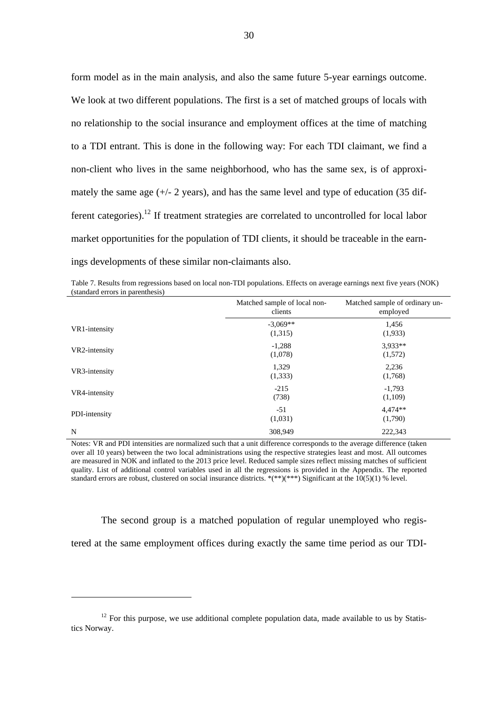form model as in the main analysis, and also the same future 5-year earnings outcome. We look at two different populations. The first is a set of matched groups of locals with no relationship to the social insurance and employment offices at the time of matching to a TDI entrant. This is done in the following way: For each TDI claimant, we find a non-client who lives in the same neighborhood, who has the same sex, is of approximately the same age  $(+/- 2$  years), and has the same level and type of education  $(35$  different categories).<sup>12</sup> If treatment strategies are correlated to uncontrolled for local labor market opportunities for the population of TDI clients, it should be traceable in the earnings developments of these similar non-claimants also.

Table 7. Results from regressions based on local non-TDI populations. Effects on average earnings next five years (NOK) (standard errors in parenthesis)

| (stanuaru circiis in parchuicsis) |                                         |                                            |
|-----------------------------------|-----------------------------------------|--------------------------------------------|
|                                   | Matched sample of local non-<br>clients | Matched sample of ordinary un-<br>employed |
| VR1-intensity                     | $-3,069**$<br>(1,315)                   | 1,456<br>(1,933)                           |
| VR2-intensity                     | $-1,288$<br>(1,078)                     | 3,933**<br>(1,572)                         |
| VR3-intensity                     | 1,329<br>(1,333)                        | 2,236<br>(1,768)                           |
| VR4-intensity                     | $-215$<br>(738)                         | $-1,793$<br>(1,109)                        |
| PDI-intensity                     | $-51$<br>(1,031)                        | $4,474**$<br>(1,790)                       |
| N                                 | 308.949                                 | 222,343                                    |

Notes: VR and PDI intensities are normalized such that a unit difference corresponds to the average difference (taken over all 10 years) between the two local administrations using the respective strategies least and most. All outcomes are measured in NOK and inflated to the 2013 price level. Reduced sample sizes reflect missing matches of sufficient quality. List of additional control variables used in all the regressions is provided in the Appendix. The reported standard errors are robust, clustered on social insurance districts. \*(\*\*)(\*\*\*) Significant at the  $10(5)(1)$  % level.

 The second group is a matched population of regular unemployed who registered at the same employment offices during exactly the same time period as our TDI-

 $12$  For this purpose, we use additional complete population data, made available to us by Statistics Norway.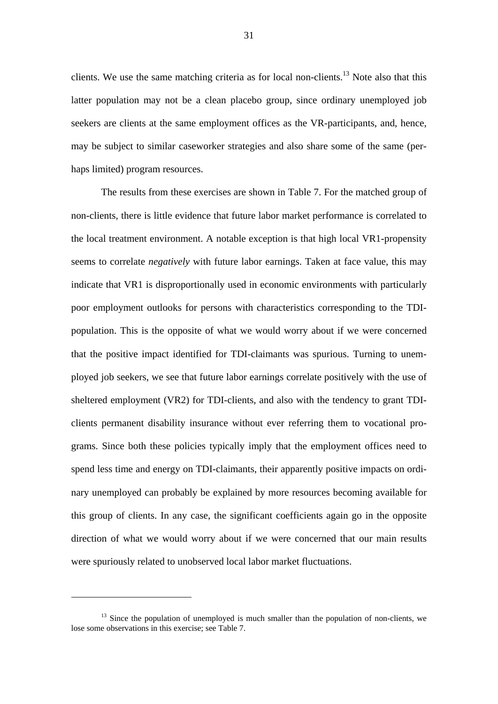clients. We use the same matching criteria as for local non-clients.<sup>13</sup> Note also that this latter population may not be a clean placebo group, since ordinary unemployed job seekers are clients at the same employment offices as the VR-participants, and, hence, may be subject to similar caseworker strategies and also share some of the same (perhaps limited) program resources.

The results from these exercises are shown in Table 7. For the matched group of non-clients, there is little evidence that future labor market performance is correlated to the local treatment environment. A notable exception is that high local VR1-propensity seems to correlate *negatively* with future labor earnings. Taken at face value, this may indicate that VR1 is disproportionally used in economic environments with particularly poor employment outlooks for persons with characteristics corresponding to the TDIpopulation. This is the opposite of what we would worry about if we were concerned that the positive impact identified for TDI-claimants was spurious. Turning to unemployed job seekers, we see that future labor earnings correlate positively with the use of sheltered employment (VR2) for TDI-clients, and also with the tendency to grant TDIclients permanent disability insurance without ever referring them to vocational programs. Since both these policies typically imply that the employment offices need to spend less time and energy on TDI-claimants, their apparently positive impacts on ordinary unemployed can probably be explained by more resources becoming available for this group of clients. In any case, the significant coefficients again go in the opposite direction of what we would worry about if we were concerned that our main results were spuriously related to unobserved local labor market fluctuations.

 $13$  Since the population of unemployed is much smaller than the population of non-clients, we lose some observations in this exercise; see Table 7.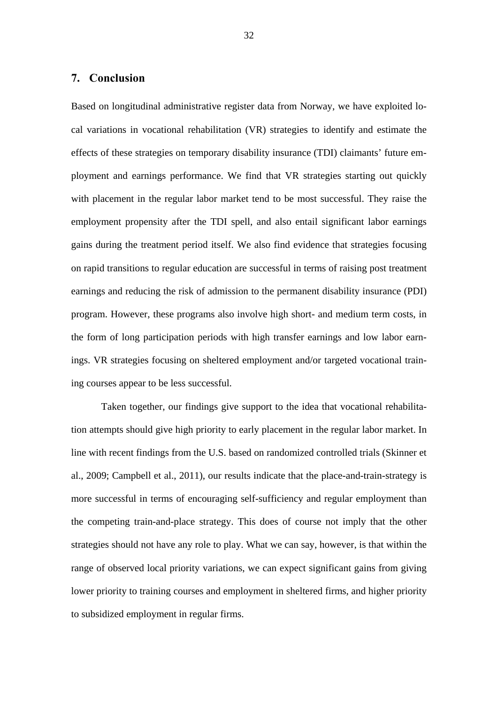#### **7. Conclusion**

Based on longitudinal administrative register data from Norway, we have exploited local variations in vocational rehabilitation (VR) strategies to identify and estimate the effects of these strategies on temporary disability insurance (TDI) claimants' future employment and earnings performance. We find that VR strategies starting out quickly with placement in the regular labor market tend to be most successful. They raise the employment propensity after the TDI spell, and also entail significant labor earnings gains during the treatment period itself. We also find evidence that strategies focusing on rapid transitions to regular education are successful in terms of raising post treatment earnings and reducing the risk of admission to the permanent disability insurance (PDI) program. However, these programs also involve high short- and medium term costs, in the form of long participation periods with high transfer earnings and low labor earnings. VR strategies focusing on sheltered employment and/or targeted vocational training courses appear to be less successful.

Taken together, our findings give support to the idea that vocational rehabilitation attempts should give high priority to early placement in the regular labor market. In line with recent findings from the U.S. based on randomized controlled trials (Skinner et al., 2009; Campbell et al., 2011), our results indicate that the place-and-train-strategy is more successful in terms of encouraging self-sufficiency and regular employment than the competing train-and-place strategy. This does of course not imply that the other strategies should not have any role to play. What we can say, however, is that within the range of observed local priority variations, we can expect significant gains from giving lower priority to training courses and employment in sheltered firms, and higher priority to subsidized employment in regular firms.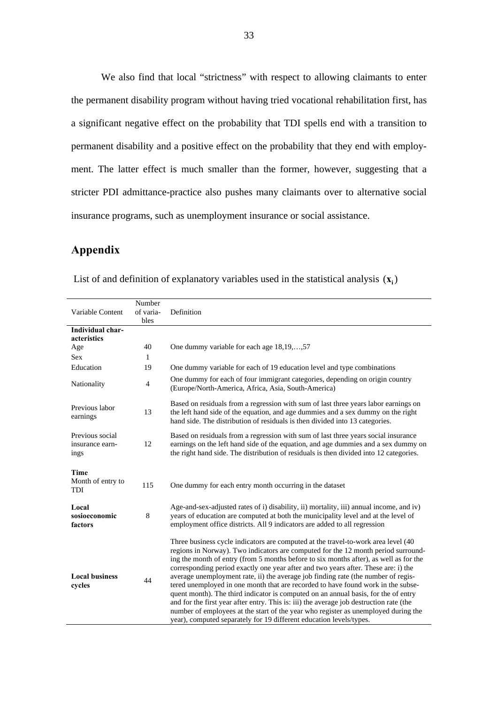We also find that local "strictness" with respect to allowing claimants to enter the permanent disability program without having tried vocational rehabilitation first, has a significant negative effect on the probability that TDI spells end with a transition to permanent disability and a positive effect on the probability that they end with employment. The latter effect is much smaller than the former, however, suggesting that a stricter PDI admittance-practice also pushes many claimants over to alternative social insurance programs, such as unemployment insurance or social assistance.

## **Appendix**

| Variable Content                               | Number<br>of varia- | Definition                                                                                                                                                                                                                                                                                                                                                                                                                                                                                                                                                                                                                                                                                                                                                                                                                                                                   |
|------------------------------------------------|---------------------|------------------------------------------------------------------------------------------------------------------------------------------------------------------------------------------------------------------------------------------------------------------------------------------------------------------------------------------------------------------------------------------------------------------------------------------------------------------------------------------------------------------------------------------------------------------------------------------------------------------------------------------------------------------------------------------------------------------------------------------------------------------------------------------------------------------------------------------------------------------------------|
|                                                | bles                |                                                                                                                                                                                                                                                                                                                                                                                                                                                                                                                                                                                                                                                                                                                                                                                                                                                                              |
| Individual char-                               |                     |                                                                                                                                                                                                                                                                                                                                                                                                                                                                                                                                                                                                                                                                                                                                                                                                                                                                              |
| acteristics                                    |                     |                                                                                                                                                                                                                                                                                                                                                                                                                                                                                                                                                                                                                                                                                                                                                                                                                                                                              |
| Age                                            | 40                  | One dummy variable for each age 18,19,,57                                                                                                                                                                                                                                                                                                                                                                                                                                                                                                                                                                                                                                                                                                                                                                                                                                    |
| <b>Sex</b>                                     | 1                   |                                                                                                                                                                                                                                                                                                                                                                                                                                                                                                                                                                                                                                                                                                                                                                                                                                                                              |
| Education                                      | 19                  | One dummy variable for each of 19 education level and type combinations                                                                                                                                                                                                                                                                                                                                                                                                                                                                                                                                                                                                                                                                                                                                                                                                      |
| Nationality                                    | $\overline{4}$      | One dummy for each of four immigrant categories, depending on origin country<br>(Europe/North-America, Africa, Asia, South-America)                                                                                                                                                                                                                                                                                                                                                                                                                                                                                                                                                                                                                                                                                                                                          |
| Previous labor<br>earnings                     | 13                  | Based on residuals from a regression with sum of last three years labor earnings on<br>the left hand side of the equation, and age dummies and a sex dummy on the right<br>hand side. The distribution of residuals is then divided into 13 categories.                                                                                                                                                                                                                                                                                                                                                                                                                                                                                                                                                                                                                      |
| Previous social<br>insurance earn-<br>ings     | 12                  | Based on residuals from a regression with sum of last three years social insurance<br>earnings on the left hand side of the equation, and age dummies and a sex dummy on<br>the right hand side. The distribution of residuals is then divided into 12 categories.                                                                                                                                                                                                                                                                                                                                                                                                                                                                                                                                                                                                           |
| <b>Time</b><br>Month of entry to<br><b>TDI</b> | 115                 | One dummy for each entry month occurring in the dataset                                                                                                                                                                                                                                                                                                                                                                                                                                                                                                                                                                                                                                                                                                                                                                                                                      |
|                                                |                     |                                                                                                                                                                                                                                                                                                                                                                                                                                                                                                                                                                                                                                                                                                                                                                                                                                                                              |
| Local<br>sosioeconomic<br>factors              | 8                   | Age-and-sex-adjusted rates of i) disability, ii) mortality, iii) annual income, and iv)<br>years of education are computed at both the municipality level and at the level of<br>employment office districts. All 9 indicators are added to all regression                                                                                                                                                                                                                                                                                                                                                                                                                                                                                                                                                                                                                   |
| <b>Local business</b><br>cycles                | 44                  | Three business cycle indicators are computed at the travel-to-work area level (40<br>regions in Norway). Two indicators are computed for the 12 month period surround-<br>ing the month of entry (from 5 months before to six months after), as well as for the<br>corresponding period exactly one year after and two years after. These are: i) the<br>average unemployment rate, ii) the average job finding rate (the number of regis-<br>tered unemployed in one month that are recorded to have found work in the subse-<br>quent month). The third indicator is computed on an annual basis, for the of entry<br>and for the first year after entry. This is: iii) the average job destruction rate (the<br>number of employees at the start of the year who register as unemployed during the<br>year), computed separately for 19 different education levels/types. |

List of and definition of explanatory variables used in the statistical analysis  $(\mathbf{x}_i)$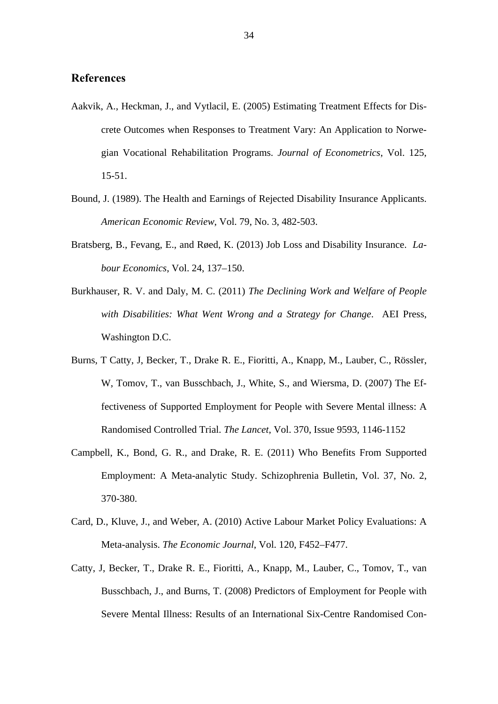#### **References**

- Aakvik, A., Heckman, J., and Vytlacil, E. (2005) Estimating Treatment Effects for Discrete Outcomes when Responses to Treatment Vary: An Application to Norwegian Vocational Rehabilitation Programs. *Journal of Econometrics*, Vol. 125, 15-51.
- Bound, J. (1989). The Health and Earnings of Rejected Disability Insurance Applicants. *American Economic Review*, Vol. 79, No. 3, 482-503.
- Bratsberg, B., Fevang, E., and Røed, K. (2013) Job Loss and Disability Insurance. *Labour Economics*, Vol. 24, 137–150.
- Burkhauser, R. V. and Daly, M. C. (2011) *The Declining Work and Welfare of People with Disabilities: What Went Wrong and a Strategy for Change*. AEI Press, Washington D.C.
- Burns, T Catty, J, Becker, T., Drake R. E., Fioritti, A., Knapp, M., Lauber, C., Rössler, W, Tomov, T., van Busschbach, J., White, S., and Wiersma, D. (2007) The Effectiveness of Supported Employment for People with Severe Mental illness: A Randomised Controlled Trial. *The Lancet*, Vol. 370, Issue 9593, 1146-1152
- Campbell, K., Bond, G. R., and Drake, R. E. (2011) Who Benefits From Supported Employment: A Meta-analytic Study. Schizophrenia Bulletin, Vol. 37, No. 2, 370-380.
- Card, D., Kluve, J., and Weber, A. (2010) Active Labour Market Policy Evaluations: A Meta-analysis. *The Economic Journal*, Vol. 120, F452–F477.
- Catty, J, Becker, T., Drake R. E., Fioritti, A., Knapp, M., Lauber, C., Tomov, T., van Busschbach, J., and Burns, T. (2008) Predictors of Employment for People with Severe Mental Illness: Results of an International Six-Centre Randomised Con-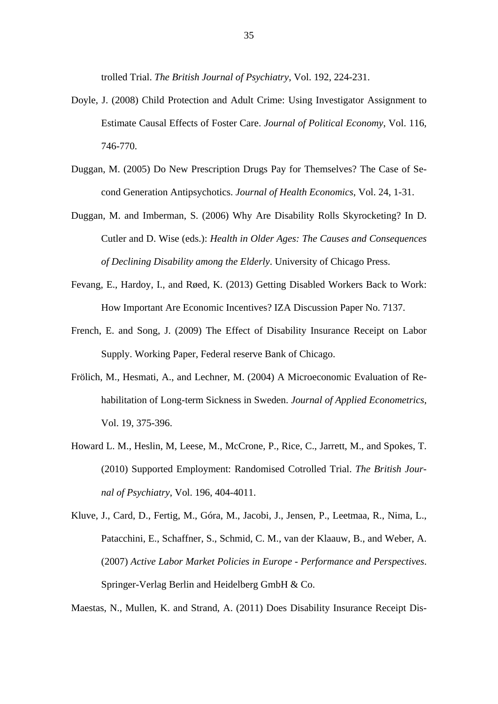trolled Trial. *The British Journal of Psychiatry*, Vol. 192, 224-231.

- Doyle, J. (2008) Child Protection and Adult Crime: Using Investigator Assignment to Estimate Causal Effects of Foster Care. *Journal of Political Economy*, Vol. 116, 746-770.
- Duggan, M. (2005) Do New Prescription Drugs Pay for Themselves? The Case of Second Generation Antipsychotics. *Journal of Health Economics*, Vol. 24, 1-31.
- Duggan, M. and Imberman, S. (2006) Why Are Disability Rolls Skyrocketing? In D. Cutler and D. Wise (eds.): *Health in Older Ages: The Causes and Consequences of Declining Disability among the Elderly*. University of Chicago Press.
- Fevang, E., Hardoy, I., and Røed, K. (2013) Getting Disabled Workers Back to Work: How Important Are Economic Incentives? IZA Discussion Paper No. 7137.
- French, E. and Song, J. (2009) The Effect of Disability Insurance Receipt on Labor Supply. Working Paper, Federal reserve Bank of Chicago.
- Frölich, M., Hesmati, A., and Lechner, M. (2004) A Microeconomic Evaluation of Rehabilitation of Long-term Sickness in Sweden. *Journal of Applied Econometrics*, Vol. 19, 375-396.
- Howard L. M., Heslin, M, Leese, M., McCrone, P., Rice, C., Jarrett, M., and Spokes, T. (2010) Supported Employment: Randomised Cotrolled Trial. *The British Journal of Psychiatry*, Vol. 196, 404-4011.
- Kluve, J., Card, D., Fertig, M., Góra, M., Jacobi, J., Jensen, P., Leetmaa, R., Nima, L., Patacchini, E., Schaffner, S., Schmid, C. M., van der Klaauw, B., and Weber, A. (2007) *Active Labor Market Policies in Europe - Performance and Perspectives*. Springer-Verlag Berlin and Heidelberg GmbH & Co.

Maestas, N., Mullen, K. and Strand, A. (2011) Does Disability Insurance Receipt Dis-